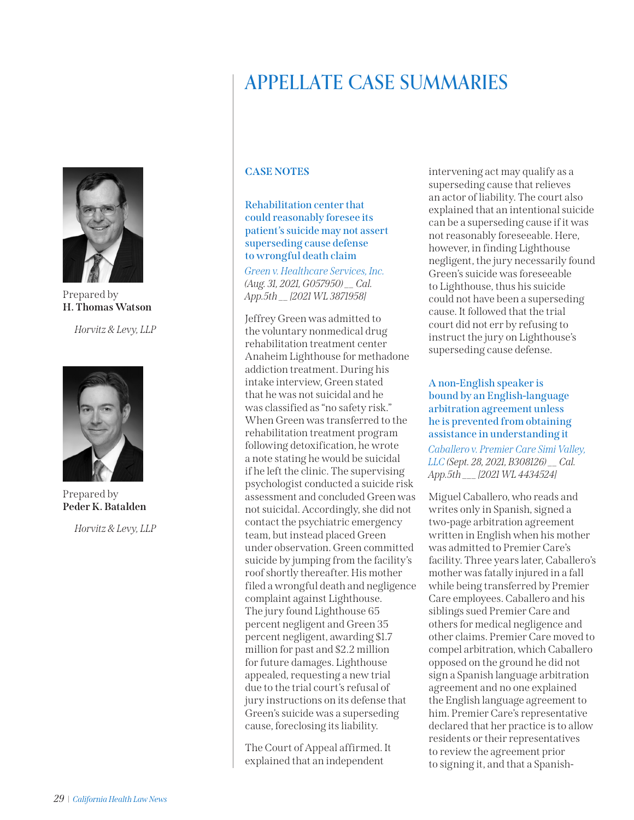# APPELLATE CASE SUMMARIES



Prepared by **H. Thomas Watson**

*Horvitz & Levy, LLP*



Prepared by **Peder K. Batalden**

*Horvitz & Levy, LLP*

# **CASE NOTES**

# **Rehabilitation center that could reasonably foresee its patient's suicide may not assert superseding cause defense to wrongful death claim**

*[Green v. Healthcare Services, Inc.](https://nam02.safelinks.protection.outlook.com/?url=https%3A%2F%2Fwww.courts.ca.gov%2Fopinions%2Fdocuments%2FG057950.PDF&data=04%7C01%7Cmfarahani%40calhospital.org%7C8b832b35c0f2446789e008d97de387d2%7C27a14bf02cbf48cb9e8c758653aa88df%7C1%7C0%7C637679238468587904%7CUnknown%7CTWFpbGZsb3d8eyJWIjoiMC4wLjAwMDAiLCJQIjoiV2luMzIiLCJBTiI6Ik1haWwiLCJXVCI6Mn0%3D%7C1000&sdata=3It1E%2FfNczXRYgNpWWz%2FeUOE7zUWKtlLO4oTzkZMFW0%3D&reserved=0) (Aug. 31, 2021, G057950) \_\_ Cal. App.5th \_\_ [2021 WL 3871958]*

Jeffrey Green was admitted to the voluntary nonmedical drug rehabilitation treatment center Anaheim Lighthouse for methadone addiction treatment. During his intake interview, Green stated that he was not suicidal and he was classified as "no safety risk." When Green was transferred to the rehabilitation treatment program following detoxification, he wrote a note stating he would be suicidal if he left the clinic. The supervising psychologist conducted a suicide risk assessment and concluded Green was not suicidal. Accordingly, she did not contact the psychiatric emergency team, but instead placed Green under observation. Green committed suicide by jumping from the facility's roof shortly thereafter. His mother filed a wrongful death and negligence complaint against Lighthouse. The jury found Lighthouse 65 percent negligent and Green 35 percent negligent, awarding \$1.7 million for past and \$2.2 million for future damages. Lighthouse appealed, requesting a new trial due to the trial court's refusal of jury instructions on its defense that Green's suicide was a superseding cause, foreclosing its liability.

The Court of Appeal affirmed. It explained that an independent

intervening act may qualify as a superseding cause that relieves an actor of liability. The court also explained that an intentional suicide can be a superseding cause if it was not reasonably foreseeable. Here, however, in finding Lighthouse negligent, the jury necessarily found Green's suicide was foreseeable to Lighthouse, thus his suicide could not have been a superseding cause. It followed that the trial court did not err by refusing to instruct the jury on Lighthouse's superseding cause defense.

# **A non-English speaker is bound by an English-language arbitration agreement unless he is prevented from obtaining assistance in understanding it**

*[Caballero v. Premier Care Simi Valley,](https://nam02.safelinks.protection.outlook.com/?url=https%3A%2F%2Fwww.courts.ca.gov%2Fopinions%2Fdocuments%2FB308126.PDF&data=04%7C01%7Cmfarahani%40calhospital.org%7C4eb135e23f214141886608d987540cfb%7C27a14bf02cbf48cb9e8c758653aa88df%7C1%7C0%7C637689617320144585%7CUnknown%7CTWFpbGZsb3d8eyJWIjoiMC4wLjAwMDAiLCJQIjoiV2luMzIiLCJBTiI6Ik1haWwiLCJXVCI6Mn0%3D%7C1000&sdata=0wjsMIyWD7wEmrgnVfbSO7Fz35qyrAGVqaUa2drfLt0%3D&reserved=0)  [LLC](https://nam02.safelinks.protection.outlook.com/?url=https%3A%2F%2Fwww.courts.ca.gov%2Fopinions%2Fdocuments%2FB308126.PDF&data=04%7C01%7Cmfarahani%40calhospital.org%7C4eb135e23f214141886608d987540cfb%7C27a14bf02cbf48cb9e8c758653aa88df%7C1%7C0%7C637689617320144585%7CUnknown%7CTWFpbGZsb3d8eyJWIjoiMC4wLjAwMDAiLCJQIjoiV2luMzIiLCJBTiI6Ik1haWwiLCJXVCI6Mn0%3D%7C1000&sdata=0wjsMIyWD7wEmrgnVfbSO7Fz35qyrAGVqaUa2drfLt0%3D&reserved=0) (Sept. 28, 2021, B308126) \_\_ Cal. App.5th \_\_\_ [2021 WL 4434524]*

Miguel Caballero, who reads and writes only in Spanish, signed a two-page arbitration agreement written in English when his mother was admitted to Premier Care's facility. Three years later, Caballero's mother was fatally injured in a fall while being transferred by Premier Care employees. Caballero and his siblings sued Premier Care and others for medical negligence and other claims. Premier Care moved to compel arbitration, which Caballero opposed on the ground he did not sign a Spanish language arbitration agreement and no one explained the English language agreement to him. Premier Care's representative declared that her practice is to allow residents or their representatives to review the agreement prior to signing it, and that a Spanish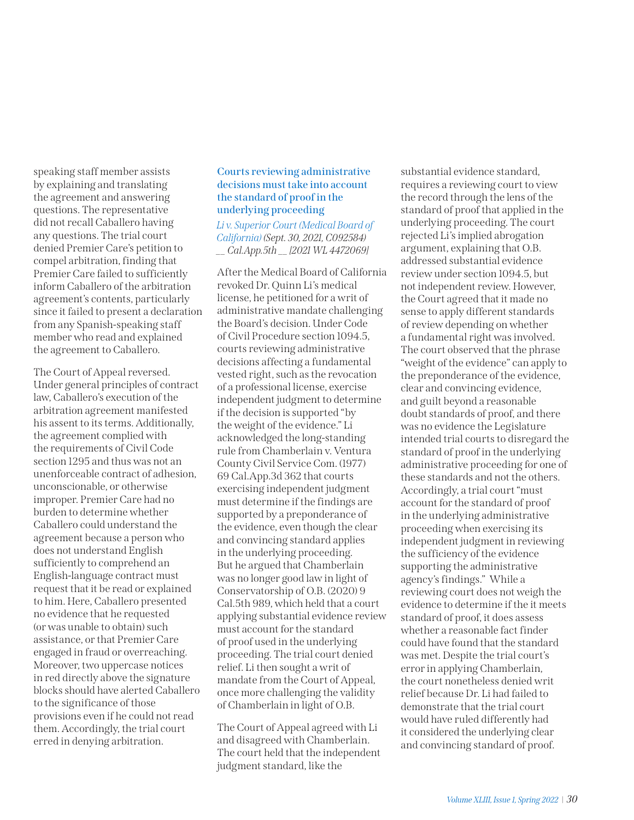speaking staff member assists by explaining and translating the agreement and answering questions. The representative did not recall Caballero having any questions. The trial court denied Premier Care's petition to compel arbitration, finding that Premier Care failed to sufficiently inform Caballero of the arbitration agreement's contents, particularly since it failed to present a declaration from any Spanish-speaking staff member who read and explained the agreement to Caballero.

The Court of Appeal reversed. Under general principles of contract law, Caballero's execution of the arbitration agreement manifested his assent to its terms. Additionally, the agreement complied with the requirements of Civil Code section 1295 and thus was not an unenforceable contract of adhesion, unconscionable, or otherwise improper. Premier Care had no burden to determine whether Caballero could understand the agreement because a person who does not understand English sufficiently to comprehend an English-language contract must request that it be read or explained to him. Here, Caballero presented no evidence that he requested (or was unable to obtain) such assistance, or that Premier Care engaged in fraud or overreaching. Moreover, two uppercase notices in red directly above the signature blocks should have alerted Caballero to the significance of those provisions even if he could not read them. Accordingly, the trial court erred in denying arbitration.

# **Courts reviewing administrative decisions must take into account the standard of proof in the underlying proceeding**

*[Li v. Superior Court \(Medical Board of](https://nam02.safelinks.protection.outlook.com/?url=https%3A%2F%2Fwww.courts.ca.gov%2Fopinions%2Fdocuments%2FC092584M.PDF&data=04%7C01%7Cmfarahani%40calhospital.org%7Ceb34a87dea114e289feb08d994cc0bc0%7C27a14bf02cbf48cb9e8c758653aa88df%7C1%7C0%7C637704426347888247%7CUnknown%7CTWFpbGZsb3d8eyJWIjoiMC4wLjAwMDAiLCJQIjoiV2luMzIiLCJBTiI6Ik1haWwiLCJXVCI6Mn0%3D%7C1000&sdata=gnNiOmfV9Tdf6CdgC05MS792Bufbir%2FDutu1QVeCv1I%3D&reserved=0)  [California\)](https://nam02.safelinks.protection.outlook.com/?url=https%3A%2F%2Fwww.courts.ca.gov%2Fopinions%2Fdocuments%2FC092584M.PDF&data=04%7C01%7Cmfarahani%40calhospital.org%7Ceb34a87dea114e289feb08d994cc0bc0%7C27a14bf02cbf48cb9e8c758653aa88df%7C1%7C0%7C637704426347888247%7CUnknown%7CTWFpbGZsb3d8eyJWIjoiMC4wLjAwMDAiLCJQIjoiV2luMzIiLCJBTiI6Ik1haWwiLCJXVCI6Mn0%3D%7C1000&sdata=gnNiOmfV9Tdf6CdgC05MS792Bufbir%2FDutu1QVeCv1I%3D&reserved=0) (Sept. 30, 2021, C092584) \_\_ Cal.App.5th \_\_ [2021 WL 4472069]*

After the Medical Board of California revoked Dr. Quinn Li's medical license, he petitioned for a writ of administrative mandate challenging the Board's decision. Under Code of Civil Procedure section 1094.5, courts reviewing administrative decisions affecting a fundamental vested right, such as the revocation of a professional license, exercise independent judgment to determine if the decision is supported "by the weight of the evidence." Li acknowledged the long-standing rule from Chamberlain v. Ventura County Civil Service Com. (1977) 69 Cal.App.3d 362 that courts exercising independent judgment must determine if the findings are supported by a preponderance of the evidence, even though the clear and convincing standard applies in the underlying proceeding. But he argued that Chamberlain was no longer good law in light of Conservatorship of O.B. (2020) 9 Cal.5th 989, which held that a court applying substantial evidence review must account for the standard of proof used in the underlying proceeding. The trial court denied relief. Li then sought a writ of mandate from the Court of Appeal, once more challenging the validity of Chamberlain in light of O.B.

The Court of Appeal agreed with Li and disagreed with Chamberlain. The court held that the independent judgment standard, like the

substantial evidence standard, requires a reviewing court to view the record through the lens of the standard of proof that applied in the underlying proceeding. The court rejected Li's implied abrogation argument, explaining that O.B. addressed substantial evidence review under section 1094.5, but not independent review. However, the Court agreed that it made no sense to apply different standards of review depending on whether a fundamental right was involved. The court observed that the phrase "weight of the evidence" can apply to the preponderance of the evidence, clear and convincing evidence, and guilt beyond a reasonable doubt standards of proof, and there was no evidence the Legislature intended trial courts to disregard the standard of proof in the underlying administrative proceeding for one of these standards and not the others. Accordingly, a trial court "must account for the standard of proof in the underlying administrative proceeding when exercising its independent judgment in reviewing the sufficiency of the evidence supporting the administrative agency's findings." While a reviewing court does not weigh the evidence to determine if the it meets standard of proof, it does assess whether a reasonable fact finder could have found that the standard was met. Despite the trial court's error in applying Chamberlain, the court nonetheless denied writ relief because Dr. Li had failed to demonstrate that the trial court would have ruled differently had it considered the underlying clear and convincing standard of proof.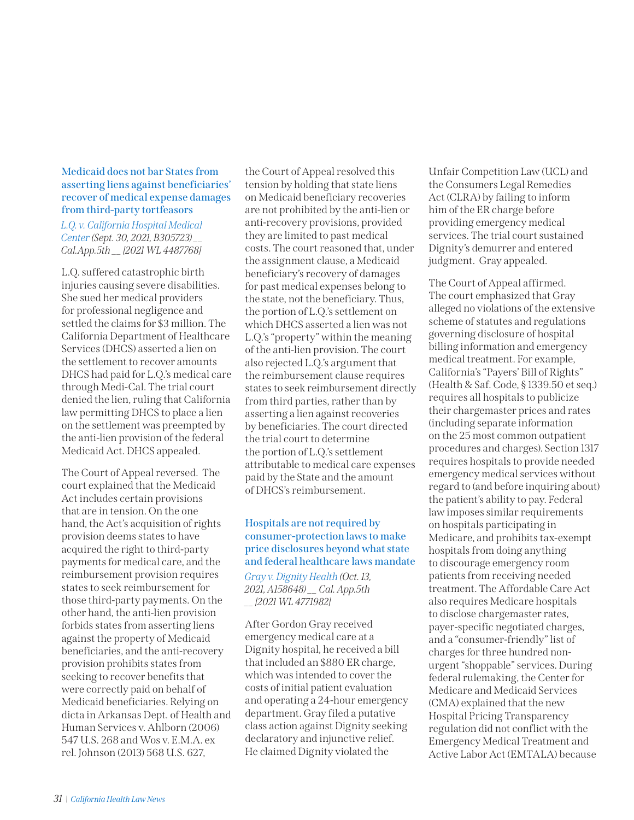## **Medicaid does not bar States from asserting liens against beneficiaries' recover of medical expense damages from third-party tortfeasors**

*[L.Q. v. California Hospital Medical](https://nam02.safelinks.protection.outlook.com/?url=https%3A%2F%2Fwww.courts.ca.gov%2Fopinions%2Fdocuments%2FB305723.PDF&data=04%7C01%7Cmfarahani%40calhospital.org%7Cd2f73461decc441a6bc808d994ccce34%7C27a14bf02cbf48cb9e8c758653aa88df%7C1%7C0%7C637704429610874375%7CUnknown%7CTWFpbGZsb3d8eyJWIjoiMC4wLjAwMDAiLCJQIjoiV2luMzIiLCJBTiI6Ik1haWwiLCJXVCI6Mn0%3D%7C1000&sdata=OA0RLXPzEy2gOXM3nR8x0eBt%2B4yiS%2F0DvwPjD1u8KaI%3D&reserved=0)  [Center](https://nam02.safelinks.protection.outlook.com/?url=https%3A%2F%2Fwww.courts.ca.gov%2Fopinions%2Fdocuments%2FB305723.PDF&data=04%7C01%7Cmfarahani%40calhospital.org%7Cd2f73461decc441a6bc808d994ccce34%7C27a14bf02cbf48cb9e8c758653aa88df%7C1%7C0%7C637704429610874375%7CUnknown%7CTWFpbGZsb3d8eyJWIjoiMC4wLjAwMDAiLCJQIjoiV2luMzIiLCJBTiI6Ik1haWwiLCJXVCI6Mn0%3D%7C1000&sdata=OA0RLXPzEy2gOXM3nR8x0eBt%2B4yiS%2F0DvwPjD1u8KaI%3D&reserved=0) (Sept. 30, 2021, B305723) \_\_ Cal.App.5th \_\_ [2021 WL 4487768]* 

L.Q. suffered catastrophic birth injuries causing severe disabilities. She sued her medical providers for professional negligence and settled the claims for \$3 million. The California Department of Healthcare Services (DHCS) asserted a lien on the settlement to recover amounts DHCS had paid for L.Q.'s medical care through Medi-Cal. The trial court denied the lien, ruling that California law permitting DHCS to place a lien on the settlement was preempted by the anti-lien provision of the federal Medicaid Act. DHCS appealed.

The Court of Appeal reversed. The court explained that the Medicaid Act includes certain provisions that are in tension. On the one hand, the Act's acquisition of rights provision deems states to have acquired the right to third-party payments for medical care, and the reimbursement provision requires states to seek reimbursement for those third-party payments. On the other hand, the anti-lien provision forbids states from asserting liens against the property of Medicaid beneficiaries, and the anti-recovery provision prohibits states from seeking to recover benefits that were correctly paid on behalf of Medicaid beneficiaries. Relying on dicta in Arkansas Dept. of Health and Human Services v. Ahlborn (2006) 547 U.S. 268 and Wos v. E.M.A. ex rel. Johnson (2013) 568 U.S. 627,

the Court of Appeal resolved this tension by holding that state liens on Medicaid beneficiary recoveries are not prohibited by the anti-lien or anti-recovery provisions, provided they are limited to past medical costs. The court reasoned that, under the assignment clause, a Medicaid beneficiary's recovery of damages for past medical expenses belong to the state, not the beneficiary. Thus, the portion of L.Q.'s settlement on which DHCS asserted a lien was not L.Q.'s "property" within the meaning of the anti-lien provision. The court also rejected L.Q.'s argument that the reimbursement clause requires states to seek reimbursement directly from third parties, rather than by asserting a lien against recoveries by beneficiaries. The court directed the trial court to determine the portion of L.Q.'s settlement attributable to medical care expenses paid by the State and the amount of DHCS's reimbursement.

# **Hospitals are not required by consumer-protection laws to make price disclosures beyond what state and federal healthcare laws mandate** *[Gray v. Dignity Health](https://nam02.safelinks.protection.outlook.com/?url=https%3A%2F%2Fwww.courts.ca.gov%2Fopinions%2Fdocuments%2FA158648.PDF&data=04%7C01%7Cmfarahani%40calhospital.org%7C4c66d576e5904623a40908d9989b0d12%7C27a14bf02cbf48cb9e8c758653aa88df%7C1%7C0%7C637708613963422906%7CUnknown%7CTWFpbGZsb3d8eyJWIjoiMC4wLjAwMDAiLCJQIjoiV2luMzIiLCJBTiI6Ik1haWwiLCJXVCI6Mn0%3D%7C1000&sdata=XENivSA9%2BDRoWjOP65WjRYUFDvMXyB%2BGb7uIEwMFhug%3D&reserved=0) (Oct. 13,*

*2021, A158648) \_\_ Cal. App.5th \_\_ [2021 WL 4771982]*

After Gordon Gray received emergency medical care at a Dignity hospital, he received a bill that included an \$880 ER charge, which was intended to cover the costs of initial patient evaluation and operating a 24-hour emergency department. Gray filed a putative class action against Dignity seeking declaratory and injunctive relief. He claimed Dignity violated the

Unfair Competition Law (UCL) and the Consumers Legal Remedies Act (CLRA) by failing to inform him of the ER charge before providing emergency medical services. The trial court sustained Dignity's demurrer and entered judgment. Gray appealed.

The Court of Appeal affirmed. The court emphasized that Gray alleged no violations of the extensive scheme of statutes and regulations governing disclosure of hospital billing information and emergency medical treatment. For example, California's "Payers' Bill of Rights" (Health & Saf. Code, § 1339.50 et seq.) requires all hospitals to publicize their chargemaster prices and rates (including separate information on the 25 most common outpatient procedures and charges). Section 1317 requires hospitals to provide needed emergency medical services without regard to (and before inquiring about) the patient's ability to pay. Federal law imposes similar requirements on hospitals participating in Medicare, and prohibits tax-exempt hospitals from doing anything to discourage emergency room patients from receiving needed treatment. The Affordable Care Act also requires Medicare hospitals to disclose chargemaster rates, payer-specific negotiated charges, and a "consumer-friendly" list of charges for three hundred nonurgent "shoppable" services. During federal rulemaking, the Center for Medicare and Medicaid Services (CMA) explained that the new Hospital Pricing Transparency regulation did not conflict with the Emergency Medical Treatment and Active Labor Act (EMTALA) because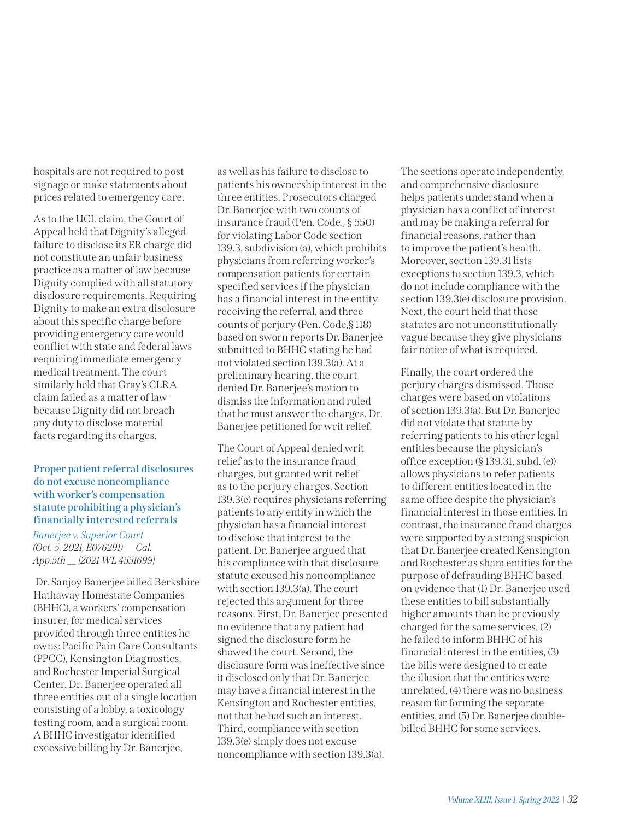hospitals are not required to post signage or make statements about prices related to emergency care.

As to the UCL claim, the Court of Appeal held that Dignity's alleged failure to disclose its ER charge did not constitute an unfair business practice as a matter of law because Dignity complied with all statutory disclosure requirements. Requiring Dignity to make an extra disclosure about this specific charge before providing emergency care would conflict with state and federal laws requiring immediate emergency medical treatment. The court similarly held that Gray's CLRA claim failed as a matter of law because Dignity did not breach any duty to disclose material facts regarding its charges.

## **Proper patient referral disclosures do not excuse noncompliance with worker's compensation statute prohibiting a physician's financially interested referrals**

*[Banerjee v. Superior Court](https://nam02.safelinks.protection.outlook.com/?url=https%3A%2F%2Fwww.courts.ca.gov%2Fopinions%2Fdocuments%2FE076291.PDF&data=04%7C01%7Cmfarahani%40calhospital.org%7C77be48ed8bf140c66f3e08d9989ba13c%7C27a14bf02cbf48cb9e8c758653aa88df%7C1%7C0%7C637708616453023065%7CUnknown%7CTWFpbGZsb3d8eyJWIjoiMC4wLjAwMDAiLCJQIjoiV2luMzIiLCJBTiI6Ik1haWwiLCJXVCI6Mn0%3D%7C1000&sdata=t9MlqDetbUDrCsej0BYWsy1lbfYcn8SYDQA7ENuUTHg%3D&reserved=0) (Oct. 5, 2021, E076291) \_\_ Cal. App.5th \_\_ [2021 WL 4551699]* 

 Dr. Sanjoy Banerjee billed Berkshire Hathaway Homestate Companies (BHHC), a workers' compensation insurer, for medical services provided through three entities he owns: Pacific Pain Care Consultants (PPCC), Kensington Diagnostics, and Rochester Imperial Surgical Center. Dr. Banerjee operated all three entities out of a single location consisting of a lobby, a toxicology testing room, and a surgical room. A BHHC investigator identified excessive billing by Dr. Banerjee,

as well as his failure to disclose to patients his ownership interest in the three entities. Prosecutors charged Dr. Banerjee with two counts of insurance fraud (Pen. Code., § 550) for violating Labor Code section 139.3, subdivision (a), which prohibits physicians from referring worker's compensation patients for certain specified services if the physician has a financial interest in the entity receiving the referral, and three counts of perjury (Pen. Code,§ 118) based on sworn reports Dr. Banerjee submitted to BHHC stating he had not violated section 139.3(a). At a preliminary hearing, the court denied Dr. Banerjee's motion to dismiss the information and ruled that he must answer the charges. Dr. Banerjee petitioned for writ relief.

The Court of Appeal denied writ relief as to the insurance fraud charges, but granted writ relief as to the perjury charges. Section 139.3(e) requires physicians referring patients to any entity in which the physician has a financial interest to disclose that interest to the patient. Dr. Banerjee argued that his compliance with that disclosure statute excused his noncompliance with section 139.3(a). The court rejected this argument for three reasons. First, Dr. Banerjee presented no evidence that any patient had signed the disclosure form he showed the court. Second, the disclosure form was ineffective since it disclosed only that Dr. Banerjee may have a financial interest in the Kensington and Rochester entities, not that he had such an interest. Third, compliance with section 139.3(e) simply does not excuse noncompliance with section 139.3(a).

The sections operate independently, and comprehensive disclosure helps patients understand when a physician has a conflict of interest and may be making a referral for financial reasons, rather than to improve the patient's health. Moreover, section 139.31 lists exceptions to section 139.3, which do not include compliance with the section 139.3(e) disclosure provision. Next, the court held that these statutes are not unconstitutionally vague because they give physicians fair notice of what is required.

Finally, the court ordered the perjury charges dismissed. Those charges were based on violations of section 139.3(a). But Dr. Banerjee did not violate that statute by referring patients to his other legal entities because the physician's office exception (§ 139.31, subd. (e)) allows physicians to refer patients to different entities located in the same office despite the physician's financial interest in those entities. In contrast, the insurance fraud charges were supported by a strong suspicion that Dr. Banerjee created Kensington and Rochester as sham entities for the purpose of defrauding BHHC based on evidence that (1) Dr. Banerjee used these entities to bill substantially higher amounts than he previously charged for the same services, (2) he failed to inform BHHC of his financial interest in the entities, (3) the bills were designed to create the illusion that the entities were unrelated, (4) there was no business reason for forming the separate entities, and (5) Dr. Banerjee doublebilled BHHC for some services.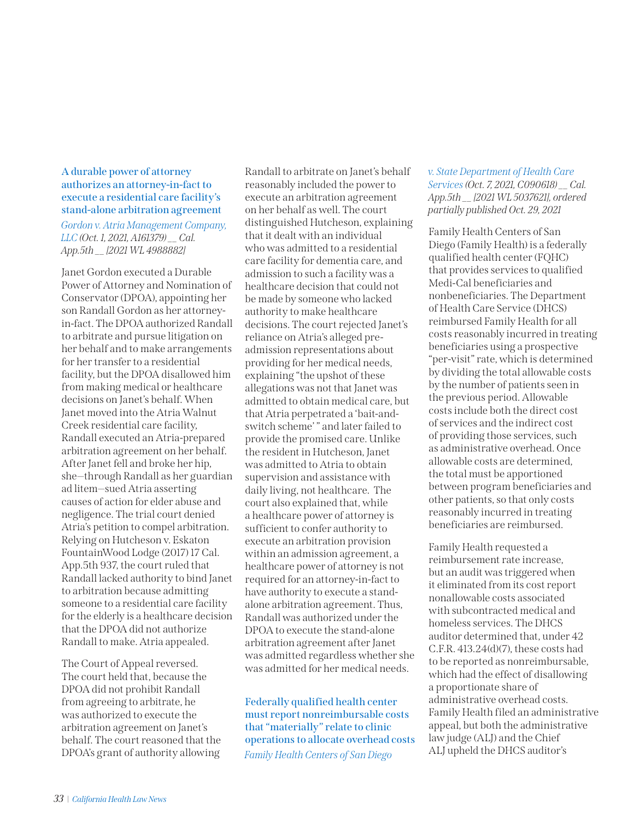## **A durable power of attorney authorizes an attorney-in-fact to execute a residential care facility's stand-alone arbitration agreement** *[Gordon v. Atria Management Company,](https://nam02.safelinks.protection.outlook.com/?url=https%3A%2F%2Fwww.courts.ca.gov%2Fopinions%2Fdocuments%2FA161379.PDF&data=04%7C01%7Cmfarahani%40calhospital.org%7C6ac8958f038449af75e608d99e419ace%7C27a14bf02cbf48cb9e8c758653aa88df%7C1%7C0%7C637714826866299371%7CUnknown%7CTWFpbGZsb3d8eyJWIjoiMC4wLjAwMDAiLCJQIjoiV2luMzIiLCJBTiI6Ik1haWwiLCJXVCI6Mn0%3D%7C1000&sdata=%2BkX7lZzJnfnJJkvpesaDx5a88BgMz7yRpo7h7p7TZbU%3D&reserved=0)*

*[LLC](https://nam02.safelinks.protection.outlook.com/?url=https%3A%2F%2Fwww.courts.ca.gov%2Fopinions%2Fdocuments%2FA161379.PDF&data=04%7C01%7Cmfarahani%40calhospital.org%7C6ac8958f038449af75e608d99e419ace%7C27a14bf02cbf48cb9e8c758653aa88df%7C1%7C0%7C637714826866299371%7CUnknown%7CTWFpbGZsb3d8eyJWIjoiMC4wLjAwMDAiLCJQIjoiV2luMzIiLCJBTiI6Ik1haWwiLCJXVCI6Mn0%3D%7C1000&sdata=%2BkX7lZzJnfnJJkvpesaDx5a88BgMz7yRpo7h7p7TZbU%3D&reserved=0) (Oct. 1, 2021, A161379) \_\_ Cal. App.5th \_\_ [2021 WL 4988882]* 

Janet Gordon executed a Durable Power of Attorney and Nomination of Conservator (DPOA), appointing her son Randall Gordon as her attorneyin-fact. The DPOA authorized Randall to arbitrate and pursue litigation on her behalf and to make arrangements for her transfer to a residential facility, but the DPOA disallowed him from making medical or healthcare decisions on Janet's behalf. When Janet moved into the Atria Walnut Creek residential care facility, Randall executed an Atria-prepared arbitration agreement on her behalf. After Janet fell and broke her hip, she—through Randall as her guardian ad litem—sued Atria asserting causes of action for elder abuse and negligence. The trial court denied Atria's petition to compel arbitration. Relying on Hutcheson v. Eskaton FountainWood Lodge (2017) 17 Cal. App.5th 937, the court ruled that Randall lacked authority to bind Janet to arbitration because admitting someone to a residential care facility for the elderly is a healthcare decision that the DPOA did not authorize Randall to make. Atria appealed.

The Court of Appeal reversed. The court held that, because the DPOA did not prohibit Randall from agreeing to arbitrate, he was authorized to execute the arbitration agreement on Janet's behalf. The court reasoned that the DPOA's grant of authority allowing Randall to arbitrate on Janet's behalf reasonably included the power to execute an arbitration agreement on her behalf as well. The court distinguished Hutcheson, explaining that it dealt with an individual who was admitted to a residential care facility for dementia care, and admission to such a facility was a healthcare decision that could not be made by someone who lacked authority to make healthcare decisions. The court rejected Janet's reliance on Atria's alleged preadmission representations about providing for her medical needs, explaining "the upshot of these allegations was not that Janet was admitted to obtain medical care, but that Atria perpetrated a 'bait-andswitch scheme' " and later failed to provide the promised care. Unlike the resident in Hutcheson, Janet was admitted to Atria to obtain supervision and assistance with daily living, not healthcare. The court also explained that, while a healthcare power of attorney is sufficient to confer authority to execute an arbitration provision within an admission agreement, a healthcare power of attorney is not required for an attorney-in-fact to have authority to execute a standalone arbitration agreement. Thus, Randall was authorized under the DPOA to execute the stand-alone arbitration agreement after Janet was admitted regardless whether she was admitted for her medical needs.

**Federally qualified health center must report nonreimbursable costs that "materially" relate to clinic operations to allocate overhead costs** *[Family Health Centers of San Diego](https://nam02.safelinks.protection.outlook.com/?url=https%3A%2F%2Fwww.courts.ca.gov%2Fopinions%2Fdocuments%2FC090618.PDF&data=04%7C01%7Cmfarahani%40calhospital.org%7C7c3c048b1953469dfc5c08d99f22c5b1%7C27a14bf02cbf48cb9e8c758653aa88df%7C1%7C0%7C637715793978246399%7CUnknown%7CTWFpbGZsb3d8eyJWIjoiMC4wLjAwMDAiLCJQIjoiV2luMzIiLCJBTiI6Ik1haWwiLCJXVCI6Mn0%3D%7C1000&sdata=qfU8tweGhgsIIwdXV%2F4N3hYA1Ix1UvLUtl4BJjjkir0%3D&reserved=0)* 

## *[v. State Department of Health Care](https://nam02.safelinks.protection.outlook.com/?url=https%3A%2F%2Fwww.courts.ca.gov%2Fopinions%2Fdocuments%2FC090618.PDF&data=04%7C01%7Cmfarahani%40calhospital.org%7C7c3c048b1953469dfc5c08d99f22c5b1%7C27a14bf02cbf48cb9e8c758653aa88df%7C1%7C0%7C637715793978246399%7CUnknown%7CTWFpbGZsb3d8eyJWIjoiMC4wLjAwMDAiLCJQIjoiV2luMzIiLCJBTiI6Ik1haWwiLCJXVCI6Mn0%3D%7C1000&sdata=qfU8tweGhgsIIwdXV%2F4N3hYA1Ix1UvLUtl4BJjjkir0%3D&reserved=0)  [Services](https://nam02.safelinks.protection.outlook.com/?url=https%3A%2F%2Fwww.courts.ca.gov%2Fopinions%2Fdocuments%2FC090618.PDF&data=04%7C01%7Cmfarahani%40calhospital.org%7C7c3c048b1953469dfc5c08d99f22c5b1%7C27a14bf02cbf48cb9e8c758653aa88df%7C1%7C0%7C637715793978246399%7CUnknown%7CTWFpbGZsb3d8eyJWIjoiMC4wLjAwMDAiLCJQIjoiV2luMzIiLCJBTiI6Ik1haWwiLCJXVCI6Mn0%3D%7C1000&sdata=qfU8tweGhgsIIwdXV%2F4N3hYA1Ix1UvLUtl4BJjjkir0%3D&reserved=0) (Oct. 7, 2021, C090618) \_\_ Cal. App.5th \_\_ [2021 WL 5037621], ordered partially published Oct. 29, 2021*

Family Health Centers of San Diego (Family Health) is a federally qualified health center (FQHC) that provides services to qualified Medi-Cal beneficiaries and nonbeneficiaries. The Department of Health Care Service (DHCS) reimbursed Family Health for all costs reasonably incurred in treating beneficiaries using a prospective "per-visit" rate, which is determined by dividing the total allowable costs by the number of patients seen in the previous period. Allowable costs include both the direct cost of services and the indirect cost of providing those services, such as administrative overhead. Once allowable costs are determined, the total must be apportioned between program beneficiaries and other patients, so that only costs reasonably incurred in treating beneficiaries are reimbursed.

Family Health requested a reimbursement rate increase, but an audit was triggered when it eliminated from its cost report nonallowable costs associated with subcontracted medical and homeless services. The DHCS auditor determined that, under 42 C.F.R. 413.24(d)(7), these costs had to be reported as nonreimbursable, which had the effect of disallowing a proportionate share of administrative overhead costs. Family Health filed an administrative appeal, but both the administrative law judge (ALJ) and the Chief ALJ upheld the DHCS auditor's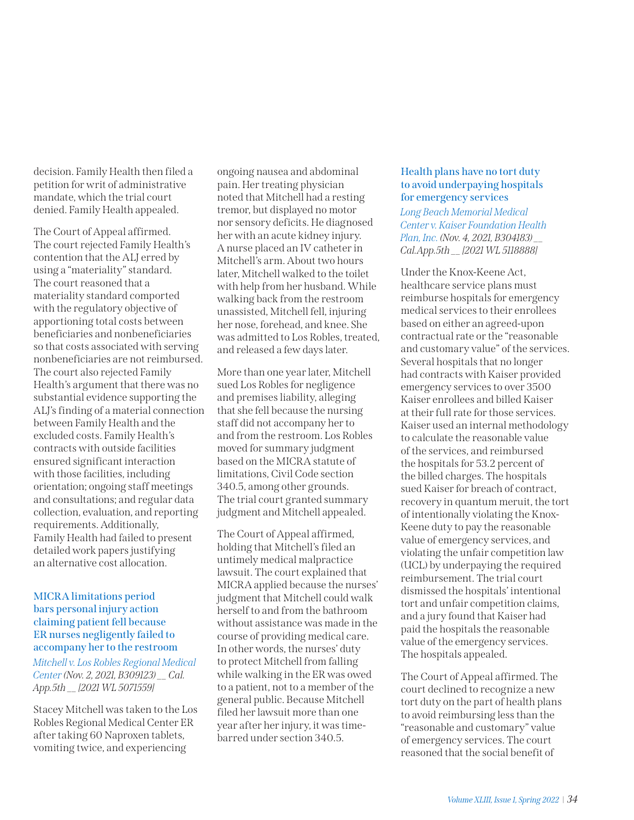decision. Family Health then filed a petition for writ of administrative mandate, which the trial court denied. Family Health appealed.

The Court of Appeal affirmed. The court rejected Family Health's contention that the ALJ erred by using a "materiality" standard. The court reasoned that a materiality standard comported with the regulatory objective of apportioning total costs between beneficiaries and nonbeneficiaries so that costs associated with serving nonbeneficiaries are not reimbursed. The court also rejected Family Health's argument that there was no substantial evidence supporting the ALJ's finding of a material connection between Family Health and the excluded costs. Family Health's contracts with outside facilities ensured significant interaction with those facilities, including orientation; ongoing staff meetings and consultations; and regular data collection, evaluation, and reporting requirements. Additionally, Family Health had failed to present detailed work papers justifying an alternative cost allocation.

## **MICRA limitations period bars personal injury action claiming patient fell because ER nurses negligently failed to accompany her to the restroom**  *[Mitchell v. Los Robles Regional Medical](https://nam02.safelinks.protection.outlook.com/?url=https%3A%2F%2Fwww.courts.ca.gov%2Fopinions%2Fdocuments%2FB309123.PDF&data=04%7C01%7Cmfarahani%40calhospital.org%7Cec6eb4a585854a52f11a08d99f238d61%7C27a14bf02cbf48cb9e8c758653aa88df%7C1%7C0%7C637715797320249966%7CUnknown%7CTWFpbGZsb3d8eyJWIjoiMC4wLjAwMDAiLCJQIjoiV2luMzIiLCJBTiI6Ik1haWwiLCJXVCI6Mn0%3D%7C1000&sdata=73Z0X5zB3Fyj9kXLOl%2Bu8q7Wssqc%2Fvf8AfbiyBs%2F%2By4%3D&reserved=0)  [Center](https://nam02.safelinks.protection.outlook.com/?url=https%3A%2F%2Fwww.courts.ca.gov%2Fopinions%2Fdocuments%2FB309123.PDF&data=04%7C01%7Cmfarahani%40calhospital.org%7Cec6eb4a585854a52f11a08d99f238d61%7C27a14bf02cbf48cb9e8c758653aa88df%7C1%7C0%7C637715797320249966%7CUnknown%7CTWFpbGZsb3d8eyJWIjoiMC4wLjAwMDAiLCJQIjoiV2luMzIiLCJBTiI6Ik1haWwiLCJXVCI6Mn0%3D%7C1000&sdata=73Z0X5zB3Fyj9kXLOl%2Bu8q7Wssqc%2Fvf8AfbiyBs%2F%2By4%3D&reserved=0)(Nov. 2, 2021, B309123) \_\_ Cal.*

*App.5th \_\_ [2021 WL 5071559]*

Stacey Mitchell was taken to the Los Robles Regional Medical Center ER after taking 60 Naproxen tablets, vomiting twice, and experiencing

ongoing nausea and abdominal pain. Her treating physician noted that Mitchell had a resting tremor, but displayed no motor nor sensory deficits. He diagnosed her with an acute kidney injury. A nurse placed an IV catheter in Mitchell's arm. About two hours later, Mitchell walked to the toilet with help from her husband. While walking back from the restroom unassisted, Mitchell fell, injuring her nose, forehead, and knee. She was admitted to Los Robles, treated, and released a few days later.

More than one year later, Mitchell sued Los Robles for negligence and premises liability, alleging that she fell because the nursing staff did not accompany her to and from the restroom. Los Robles moved for summary judgment based on the MICRA statute of limitations, Civil Code section 340.5, among other grounds. The trial court granted summary judgment and Mitchell appealed.

The Court of Appeal affirmed, holding that Mitchell's filed an untimely medical malpractice lawsuit. The court explained that MICRA applied because the nurses' judgment that Mitchell could walk herself to and from the bathroom without assistance was made in the course of providing medical care. In other words, the nurses' duty to protect Mitchell from falling while walking in the ER was owed to a patient, not to a member of the general public. Because Mitchell filed her lawsuit more than one year after her injury, it was timebarred under section 340.5.

## **Health plans have no tort duty to avoid underpaying hospitals for emergency services**

*[Long Beach Memorial Medical](https://nam02.safelinks.protection.outlook.com/?url=https%3A%2F%2Fwww.courts.ca.gov%2Fopinions%2Fdocuments%2FB304183.PDF&data=04%7C01%7Cmfarahani%40calhospital.org%7Cc1846b849cf64dd2e52108d9a4702311%7C27a14bf02cbf48cb9e8c758653aa88df%7C1%7C0%7C637721623803555935%7CUnknown%7CTWFpbGZsb3d8eyJWIjoiMC4wLjAwMDAiLCJQIjoiV2luMzIiLCJBTiI6Ik1haWwiLCJXVCI6Mn0%3D%7C1000&sdata=8DUzYpDuZe8V%2FsGGE1P%2BbP604nRR9ZcAtRaXiwjmaCY%3D&reserved=0)  [Center v. Kaiser Foundation Health](https://nam02.safelinks.protection.outlook.com/?url=https%3A%2F%2Fwww.courts.ca.gov%2Fopinions%2Fdocuments%2FB304183.PDF&data=04%7C01%7Cmfarahani%40calhospital.org%7Cc1846b849cf64dd2e52108d9a4702311%7C27a14bf02cbf48cb9e8c758653aa88df%7C1%7C0%7C637721623803555935%7CUnknown%7CTWFpbGZsb3d8eyJWIjoiMC4wLjAwMDAiLCJQIjoiV2luMzIiLCJBTiI6Ik1haWwiLCJXVCI6Mn0%3D%7C1000&sdata=8DUzYpDuZe8V%2FsGGE1P%2BbP604nRR9ZcAtRaXiwjmaCY%3D&reserved=0)  [Plan, Inc.](https://nam02.safelinks.protection.outlook.com/?url=https%3A%2F%2Fwww.courts.ca.gov%2Fopinions%2Fdocuments%2FB304183.PDF&data=04%7C01%7Cmfarahani%40calhospital.org%7Cc1846b849cf64dd2e52108d9a4702311%7C27a14bf02cbf48cb9e8c758653aa88df%7C1%7C0%7C637721623803555935%7CUnknown%7CTWFpbGZsb3d8eyJWIjoiMC4wLjAwMDAiLCJQIjoiV2luMzIiLCJBTiI6Ik1haWwiLCJXVCI6Mn0%3D%7C1000&sdata=8DUzYpDuZe8V%2FsGGE1P%2BbP604nRR9ZcAtRaXiwjmaCY%3D&reserved=0) (Nov. 4, 2021, B304183) \_\_ Cal.App.5th \_\_ [2021 WL 5118888]*

Under the Knox-Keene Act, healthcare service plans must reimburse hospitals for emergency medical services to their enrollees based on either an agreed-upon contractual rate or the "reasonable and customary value" of the services. Several hospitals that no longer had contracts with Kaiser provided emergency services to over 3500 Kaiser enrollees and billed Kaiser at their full rate for those services. Kaiser used an internal methodology to calculate the reasonable value of the services, and reimbursed the hospitals for 53.2 percent of the billed charges. The hospitals sued Kaiser for breach of contract, recovery in quantum meruit, the tort of intentionally violating the Knox-Keene duty to pay the reasonable value of emergency services, and violating the unfair competition law (UCL) by underpaying the required reimbursement. The trial court dismissed the hospitals' intentional tort and unfair competition claims, and a jury found that Kaiser had paid the hospitals the reasonable value of the emergency services. The hospitals appealed.

The Court of Appeal affirmed. The court declined to recognize a new tort duty on the part of health plans to avoid reimbursing less than the "reasonable and customary" value of emergency services. The court reasoned that the social benefit of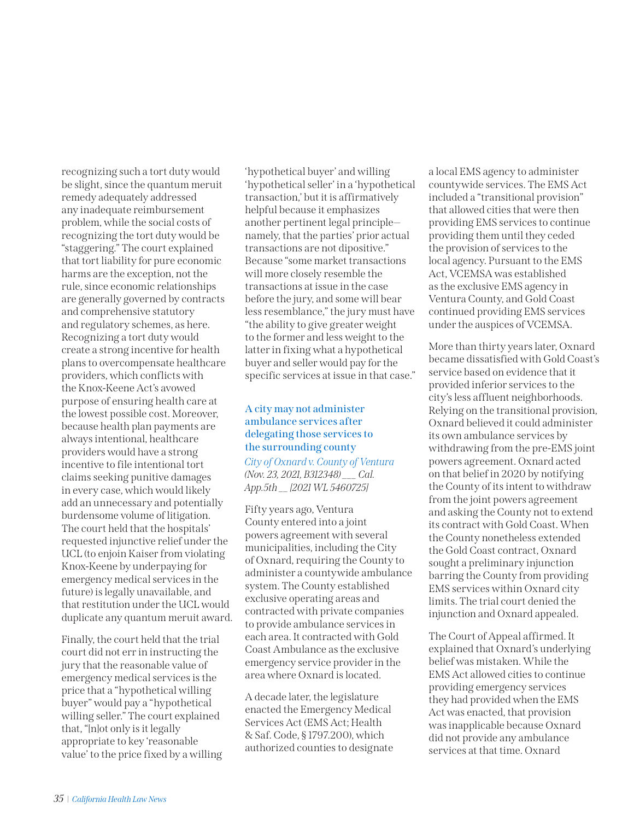recognizing such a tort duty would be slight, since the quantum meruit remedy adequately addressed any inadequate reimbursement problem, while the social costs of recognizing the tort duty would be "staggering." The court explained that tort liability for pure economic harms are the exception, not the rule, since economic relationships are generally governed by contracts and comprehensive statutory and regulatory schemes, as here. Recognizing a tort duty would create a strong incentive for health plans to overcompensate healthcare providers, which conflicts with the Knox-Keene Act's avowed purpose of ensuring health care at the lowest possible cost. Moreover, because health plan payments are always intentional, healthcare providers would have a strong incentive to file intentional tort claims seeking punitive damages in every case, which would likely add an unnecessary and potentially burdensome volume of litigation. The court held that the hospitals' requested injunctive relief under the UCL (to enjoin Kaiser from violating Knox-Keene by underpaying for emergency medical services in the future) is legally unavailable, and that restitution under the UCL would duplicate any quantum meruit award.

Finally, the court held that the trial court did not err in instructing the jury that the reasonable value of emergency medical services is the price that a "hypothetical willing buyer" would pay a "hypothetical willing seller." The court explained that, "[n]ot only is it legally appropriate to key 'reasonable value' to the price fixed by a willing 'hypothetical buyer' and willing 'hypothetical seller' in a 'hypothetical transaction,' but it is affirmatively helpful because it emphasizes another pertinent legal principle namely, that the parties' prior actual transactions are not dipositive." Because "some market transactions will more closely resemble the transactions at issue in the case before the jury, and some will bear less resemblance," the jury must have "the ability to give greater weight to the former and less weight to the latter in fixing what a hypothetical buyer and seller would pay for the specific services at issue in that case."

## **A city may not administer ambulance services after delegating those services to the surrounding county**

*[City of Oxnard v. County of Ventura](https://nam02.safelinks.protection.outlook.com/?url=https%3A%2F%2Fwww.courts.ca.gov%2Fopinions%2Fdocuments%2FB312348.PDF&data=04%7C01%7Cmfarahani%40calhospital.org%7C1d41d9a9e1db4cc7fcc908d9b5f4109c%7C27a14bf02cbf48cb9e8c758653aa88df%7C1%7C0%7C637740882121106620%7CUnknown%7CTWFpbGZsb3d8eyJWIjoiMC4wLjAwMDAiLCJQIjoiV2luMzIiLCJBTiI6Ik1haWwiLCJXVCI6Mn0%3D%7C3000&sdata=iAGii6aGK%2Bm5jX6PBL7PFQKajB9KqZ9SnWa2vodhiyk%3D&reserved=0) (Nov. 23, 2021, B312348) \_\_\_ Cal. App.5th \_\_ [2021 WL 5460725]*

Fifty years ago, Ventura County entered into a joint powers agreement with several municipalities, including the City of Oxnard, requiring the County to administer a countywide ambulance system. The County established exclusive operating areas and contracted with private companies to provide ambulance services in each area. It contracted with Gold Coast Ambulance as the exclusive emergency service provider in the area where Oxnard is located.

A decade later, the legislature enacted the Emergency Medical Services Act (EMS Act; Health & Saf. Code, § 1797.200), which authorized counties to designate a local EMS agency to administer countywide services. The EMS Act included a "transitional provision" that allowed cities that were then providing EMS services to continue providing them until they ceded the provision of services to the local agency. Pursuant to the EMS Act, VCEMSA was established as the exclusive EMS agency in Ventura County, and Gold Coast continued providing EMS services under the auspices of VCEMSA.

More than thirty years later, Oxnard became dissatisfied with Gold Coast's service based on evidence that it provided inferior services to the city's less affluent neighborhoods. Relying on the transitional provision, Oxnard believed it could administer its own ambulance services by withdrawing from the pre-EMS joint powers agreement. Oxnard acted on that belief in 2020 by notifying the County of its intent to withdraw from the joint powers agreement and asking the County not to extend its contract with Gold Coast. When the County nonetheless extended the Gold Coast contract, Oxnard sought a preliminary injunction barring the County from providing EMS services within Oxnard city limits. The trial court denied the injunction and Oxnard appealed.

The Court of Appeal affirmed. It explained that Oxnard's underlying belief was mistaken. While the EMS Act allowed cities to continue providing emergency services they had provided when the EMS Act was enacted, that provision was inapplicable because Oxnard did not provide any ambulance services at that time. Oxnard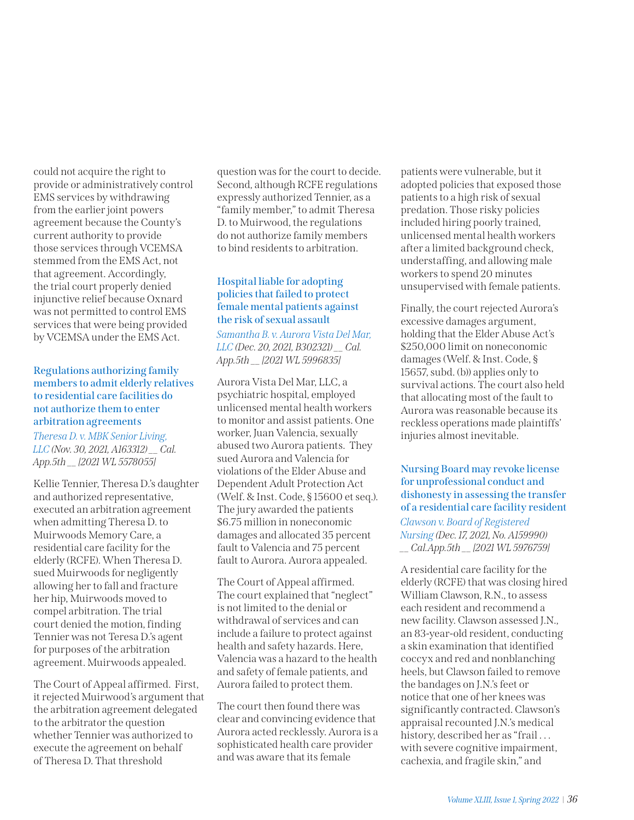could not acquire the right to provide or administratively control EMS services by withdrawing from the earlier joint powers agreement because the County's current authority to provide those services through VCEMSA stemmed from the EMS Act, not that agreement. Accordingly, the trial court properly denied injunctive relief because Oxnard was not permitted to control EMS services that were being provided by VCEMSA under the EMS Act.

## **Regulations authorizing family members to admit elderly relatives to residential care facilities do not authorize them to enter arbitration agreements**

*[Theresa D. v. MBK Senior Living,](https://nam02.safelinks.protection.outlook.com/?url=https%3A%2F%2Fwww.courts.ca.gov%2Fopinions%2Fdocuments%2FA163312.PDF&data=04%7C01%7Cmfarahani%40calhospital.org%7C88041f03210e4540b4f908d9cbc58ed4%7C27a14bf02cbf48cb9e8c758653aa88df%7C1%7C0%7C637764871644956953%7CUnknown%7CTWFpbGZsb3d8eyJWIjoiMC4wLjAwMDAiLCJQIjoiV2luMzIiLCJBTiI6Ik1haWwiLCJXVCI6Mn0%3D%7C3000&sdata=tRL25vghQ7D6GG5eXHrHpasw5jOtP7f3KlfIzp%2B2ISA%3D&reserved=0)  [LLC](https://nam02.safelinks.protection.outlook.com/?url=https%3A%2F%2Fwww.courts.ca.gov%2Fopinions%2Fdocuments%2FA163312.PDF&data=04%7C01%7Cmfarahani%40calhospital.org%7C88041f03210e4540b4f908d9cbc58ed4%7C27a14bf02cbf48cb9e8c758653aa88df%7C1%7C0%7C637764871644956953%7CUnknown%7CTWFpbGZsb3d8eyJWIjoiMC4wLjAwMDAiLCJQIjoiV2luMzIiLCJBTiI6Ik1haWwiLCJXVCI6Mn0%3D%7C3000&sdata=tRL25vghQ7D6GG5eXHrHpasw5jOtP7f3KlfIzp%2B2ISA%3D&reserved=0) (Nov. 30, 2021, [A163312](https://nam02.safelinks.protection.outlook.com/?url=https%3A%2F%2Fwww.courts.ca.gov%2Fopinions%2Fdocuments%2FA163312.PDF&data=04%7C01%7Cmfarahani%40calhospital.org%7C88041f03210e4540b4f908d9cbc58ed4%7C27a14bf02cbf48cb9e8c758653aa88df%7C1%7C0%7C637764871644956953%7CUnknown%7CTWFpbGZsb3d8eyJWIjoiMC4wLjAwMDAiLCJQIjoiV2luMzIiLCJBTiI6Ik1haWwiLCJXVCI6Mn0%3D%7C3000&sdata=tRL25vghQ7D6GG5eXHrHpasw5jOtP7f3KlfIzp%2B2ISA%3D&reserved=0)) \_\_ Cal. App.5th \_\_ [2021 WL 5578055]*

Kellie Tennier, Theresa D.'s daughter and authorized representative, executed an arbitration agreement when admitting Theresa D. to Muirwoods Memory Care, a residential care facility for the elderly (RCFE). When Theresa D. sued Muirwoods for negligently allowing her to fall and fracture her hip, Muirwoods moved to compel arbitration. The trial court denied the motion, finding Tennier was not Teresa D.'s agent for purposes of the arbitration agreement. Muirwoods appealed.

The Court of Appeal affirmed. First, it rejected Muirwood's argument that the arbitration agreement delegated to the arbitrator the question whether Tennier was authorized to execute the agreement on behalf of Theresa D. That threshold

question was for the court to decide. Second, although RCFE regulations expressly authorized Tennier, as a "family member," to admit Theresa D. to Muirwood, the regulations do not authorize family members to bind residents to arbitration.

## **Hospital liable for adopting policies that failed to protect female mental patients against the risk of sexual assault**

*[Samantha B. v. Aurora Vista Del Mar,](https://nam02.safelinks.protection.outlook.com/?url=https%3A%2F%2Fwww.courts.ca.gov%2Fopinions%2Fdocuments%2FB302321.PDF&data=04%7C01%7Cmfarahani%40calhospital.org%7Cb5cce32b477b41f37c5c08d9cbc63f00%7C27a14bf02cbf48cb9e8c758653aa88df%7C1%7C0%7C637764874590604639%7CUnknown%7CTWFpbGZsb3d8eyJWIjoiMC4wLjAwMDAiLCJQIjoiV2luMzIiLCJBTiI6Ik1haWwiLCJXVCI6Mn0%3D%7C3000&sdata=p%2FBYkb82GwQTT2nTo%2BQyAk74l9TgYYFcNJodVa0Bo5Q%3D&reserved=0)  [LLC](https://nam02.safelinks.protection.outlook.com/?url=https%3A%2F%2Fwww.courts.ca.gov%2Fopinions%2Fdocuments%2FB302321.PDF&data=04%7C01%7Cmfarahani%40calhospital.org%7Cb5cce32b477b41f37c5c08d9cbc63f00%7C27a14bf02cbf48cb9e8c758653aa88df%7C1%7C0%7C637764874590604639%7CUnknown%7CTWFpbGZsb3d8eyJWIjoiMC4wLjAwMDAiLCJQIjoiV2luMzIiLCJBTiI6Ik1haWwiLCJXVCI6Mn0%3D%7C3000&sdata=p%2FBYkb82GwQTT2nTo%2BQyAk74l9TgYYFcNJodVa0Bo5Q%3D&reserved=0) (Dec. 20, 2021, B302321) \_\_ Cal. App.5th \_\_ [2021 WL 5996835]*

Aurora Vista Del Mar, LLC, a psychiatric hospital, employed unlicensed mental health workers to monitor and assist patients. One worker, Juan Valencia, sexually abused two Aurora patients. They sued Aurora and Valencia for violations of the Elder Abuse and Dependent Adult Protection Act (Welf. & Inst. Code, § 15600 et seq.). The jury awarded the patients \$6.75 million in noneconomic damages and allocated 35 percent fault to Valencia and 75 percent fault to Aurora. Aurora appealed.

The Court of Appeal affirmed. The court explained that "neglect" is not limited to the denial or withdrawal of services and can include a failure to protect against health and safety hazards. Here, Valencia was a hazard to the health and safety of female patients, and Aurora failed to protect them.

The court then found there was clear and convincing evidence that Aurora acted recklessly. Aurora is a sophisticated health care provider and was aware that its female

patients were vulnerable, but it adopted policies that exposed those patients to a high risk of sexual predation. Those risky policies included hiring poorly trained, unlicensed mental health workers after a limited background check, understaffing, and allowing male workers to spend 20 minutes unsupervised with female patients.

Finally, the court rejected Aurora's excessive damages argument, holding that the Elder Abuse Act's \$250,000 limit on noneconomic damages (Welf. & Inst. Code, § 15657, subd. (b)) applies only to survival actions. The court also held that allocating most of the fault to Aurora was reasonable because its reckless operations made plaintiffs' injuries almost inevitable.

# **Nursing Board may revoke license for unprofessional conduct and dishonesty in assessing the transfer of a residential care facility resident**

*[Clawson v. Board of Registered](https://nam02.safelinks.protection.outlook.com/?url=https%3A%2F%2Fwww.courts.ca.gov%2Fopinions%2Fdocuments%2FA159990.PDF&data=04%7C01%7Cmfarahani%40calhospital.org%7C18f7cc98540040df701c08d9cbc6fcbb%7C27a14bf02cbf48cb9e8c758653aa88df%7C1%7C0%7C637764877775949240%7CUnknown%7CTWFpbGZsb3d8eyJWIjoiMC4wLjAwMDAiLCJQIjoiV2luMzIiLCJBTiI6Ik1haWwiLCJXVCI6Mn0%3D%7C3000&sdata=PnPDYrRSQEaYrsjIQ707PPMjxUHhZY5RXn28g%2Bi8mYQ%3D&reserved=0)  [Nursing](https://nam02.safelinks.protection.outlook.com/?url=https%3A%2F%2Fwww.courts.ca.gov%2Fopinions%2Fdocuments%2FA159990.PDF&data=04%7C01%7Cmfarahani%40calhospital.org%7C18f7cc98540040df701c08d9cbc6fcbb%7C27a14bf02cbf48cb9e8c758653aa88df%7C1%7C0%7C637764877775949240%7CUnknown%7CTWFpbGZsb3d8eyJWIjoiMC4wLjAwMDAiLCJQIjoiV2luMzIiLCJBTiI6Ik1haWwiLCJXVCI6Mn0%3D%7C3000&sdata=PnPDYrRSQEaYrsjIQ707PPMjxUHhZY5RXn28g%2Bi8mYQ%3D&reserved=0) (Dec. 17, 2021, No. A159990) \_\_ Cal.App.5th \_\_ [2021 WL 5976759]*

A residential care facility for the elderly (RCFE) that was closing hired William Clawson, R.N., to assess each resident and recommend a new facility. Clawson assessed J.N., an 83-year-old resident, conducting a skin examination that identified coccyx and red and nonblanching heels, but Clawson failed to remove the bandages on J.N.'s feet or notice that one of her knees was significantly contracted. Clawson's appraisal recounted J.N.'s medical history, described her as "frail... with severe cognitive impairment, cachexia, and fragile skin," and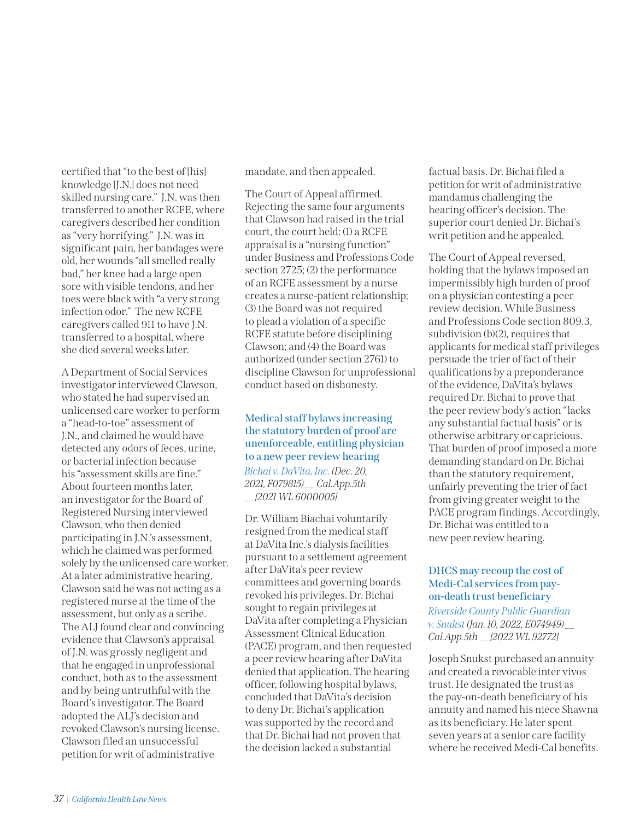certified that "to the best of [his] knowledge [J.N.] does not need skilled nursing care." J.N. was then transferred to another RCFE, where caregivers described her condition as "very horrifying." J.N. was in significant pain, her bandages were old, her wounds "all smelled really bad," her knee had a large open sore with visible tendons, and her toes were black with "a very strong infection odor." The new RCFE caregivers called 911 to have J.N. transferred to a hospital, where she died several weeks later.

A Department of Social Services investigator interviewed Clawson, who stated he had supervised an unlicensed care worker to perform a "head-to-toe" assessment of J.N., and claimed he would have detected any odors of feces, urine, or bacterial infection because his "assessment skills are fine." About fourteen months later, an investigator for the Board of Registered Nursing interviewed Clawson, who then denied participating in J.N.'s assessment, which he claimed was performed solely by the unlicensed care worker. At a later administrative hearing, Clawson said he was not acting as a registered nurse at the time of the assessment, but only as a scribe. The ALJ found clear and convincing evidence that Clawson's appraisal of J.N. was grossly negligent and that he engaged in unprofessional conduct, both as to the assessment and by being untruthful with the Board's investigator. The Board adopted the ALJ's decision and revoked Clawson's nursing license. Clawson filed an unsuccessful petition for writ of administrative

mandate, and then appealed.

The Court of Appeal affirmed. Rejecting the same four arguments that Clawson had raised in the trial court, the court held: (1) a RCFE appraisal is a "nursing function" under Business and Professions Code section 2725; (2) the performance of an RCFE assessment by a nurse creates a nurse-patient relationship; (3) the Board was not required to plead a violation of a specific RCFE statute before disciplining Clawson; and (4) the Board was authorized (under section 2761) to discipline Clawson for unprofessional conduct based on dishonesty.

# **Medical staff bylaws increasing the statutory burden of proof are unenforceable, entitling physician to a new peer review hearing**

*[Bichai v. DaVita, Inc.](https://nam02.safelinks.protection.outlook.com/?url=https%3A%2F%2Fwww.courts.ca.gov%2Fopinions%2Fdocuments%2FF079815.PDF&data=04%7C01%7Cmfarahani%40calhospital.org%7C8b3cd39940aa4208e31808d9cbc7c957%7C27a14bf02cbf48cb9e8c758653aa88df%7C1%7C0%7C637764881204356014%7CUnknown%7CTWFpbGZsb3d8eyJWIjoiMC4wLjAwMDAiLCJQIjoiV2luMzIiLCJBTiI6Ik1haWwiLCJXVCI6Mn0%3D%7C3000&sdata=jf7tF%2FxCmRX2jN3eiCjxp75LYUt%2Fvxbb3pjK1K497ak%3D&reserved=0) (Dec. 20, 2021, F079815) \_\_ Cal.App.5th \_\_ [2021 WL 6000005]*

Dr. William Biachai voluntarily resigned from the medical staff at DaVita Inc.'s dialysis facilities pursuant to a settlement agreement after DaVita's peer review committees and governing boards revoked his privileges. Dr. Bichai sought to regain privileges at DaVita after completing a Physician Assessment Clinical Education (PACE) program, and then requested a peer review hearing after DaVita denied that application. The hearing officer, following hospital bylaws, concluded that DaVita's decision to deny Dr. Bichai's application was supported by the record and that Dr. Bichai had not proven that the decision lacked a substantial

factual basis. Dr. Bichai filed a petition for writ of administrative mandamus challenging the hearing officer's decision. The superior court denied Dr. Bichai's writ petition and he appealed.

The Court of Appeal reversed, holding that the bylaws imposed an impermissibly high burden of proof on a physician contesting a peer review decision. While Business and Professions Code section 809.3, subdivision (b)(2), requires that applicants for medical staff privileges persuade the trier of fact of their qualifications by a preponderance of the evidence, DaVita's bylaws required Dr. Bichai to prove that the peer review body's action "lacks any substantial factual basis" or is otherwise arbitrary or capricious. That burden of proof imposed a more demanding standard on Dr. Bichai than the statutory requirement, unfairly preventing the trier of fact from giving greater weight to the PACE program findings. Accordingly, Dr. Bichai was entitled to a new peer review hearing.

# **DHCS may recoup the cost of Medi-Cal services from payon-death trust beneficiary**

*[Riverside County Public Guardian](https://nam02.safelinks.protection.outlook.com/?url=https%3A%2F%2Fwww.courts.ca.gov%2Fopinions%2Fdocuments%2FE074949.PDF&data=04%7C01%7Cmfarahani%40calhospital.org%7C2519dd953c50487f853708d9dac5bac1%7C27a14bf02cbf48cb9e8c758653aa88df%7C1%7C0%7C637781365055066570%7CUnknown%7CTWFpbGZsb3d8eyJWIjoiMC4wLjAwMDAiLCJQIjoiV2luMzIiLCJBTiI6Ik1haWwiLCJXVCI6Mn0%3D%7C3000&sdata=07HFG9HJCTvFA0pdcbXAk9ECf3bkpOhN%2BbHF%2Fu6faSM%3D&reserved=0)  [v. Snukst](https://nam02.safelinks.protection.outlook.com/?url=https%3A%2F%2Fwww.courts.ca.gov%2Fopinions%2Fdocuments%2FE074949.PDF&data=04%7C01%7Cmfarahani%40calhospital.org%7C2519dd953c50487f853708d9dac5bac1%7C27a14bf02cbf48cb9e8c758653aa88df%7C1%7C0%7C637781365055066570%7CUnknown%7CTWFpbGZsb3d8eyJWIjoiMC4wLjAwMDAiLCJQIjoiV2luMzIiLCJBTiI6Ik1haWwiLCJXVCI6Mn0%3D%7C3000&sdata=07HFG9HJCTvFA0pdcbXAk9ECf3bkpOhN%2BbHF%2Fu6faSM%3D&reserved=0) (Jan. 10, 2022, E074949) \_\_ Cal.App.5th \_\_ [2022 WL 92772]*

Joseph Snukst purchased an annuity and created a revocable inter vivos trust. He designated the trust as the pay-on-death beneficiary of his annuity and named his niece Shawna as its beneficiary. He later spent seven years at a senior care facility where he received Medi-Cal benefits.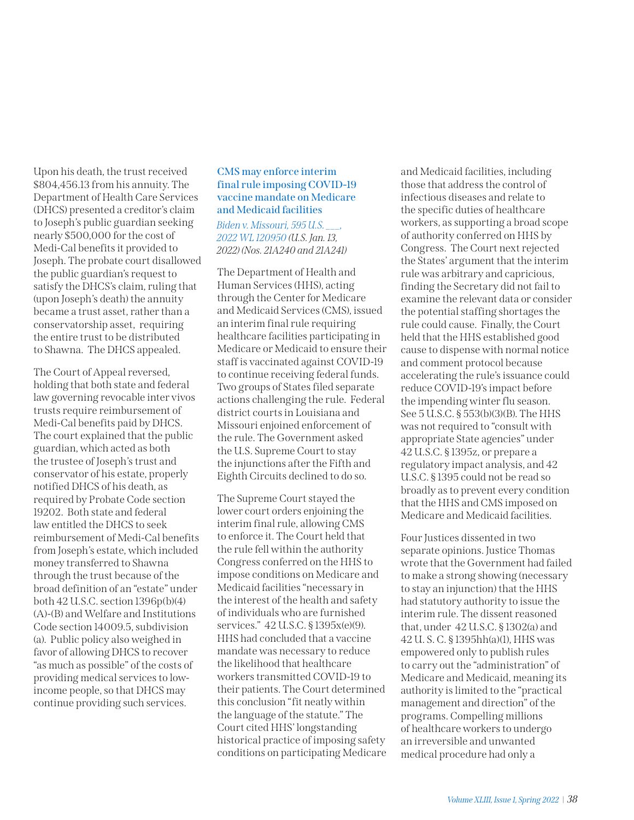Upon his death, the trust received \$804,456.13 from his annuity. The Department of Health Care Services (DHCS) presented a creditor's claim to Joseph's public guardian seeking nearly \$500,000 for the cost of Medi-Cal benefits it provided to Joseph. The probate court disallowed the public guardian's request to satisfy the DHCS's claim, ruling that (upon Joseph's death) the annuity became a trust asset, rather than a conservatorship asset, requiring the entire trust to be distributed to Shawna. The DHCS appealed.

The Court of Appeal reversed, holding that both state and federal law governing revocable inter vivos trusts require reimbursement of Medi-Cal benefits paid by DHCS. The court explained that the public guardian, which acted as both the trustee of Joseph's trust and conservator of his estate, properly notified DHCS of his death, as required by Probate Code section 19202. Both state and federal law entitled the DHCS to seek reimbursement of Medi-Cal benefits from Joseph's estate, which included money transferred to Shawna through the trust because of the broad definition of an "estate" under both 42 U.S.C. section 1396p(b)(4) (A)-(B) and Welfare and Institutions Code section 14009.5, subdivision (a). Public policy also weighed in favor of allowing DHCS to recover "as much as possible" of the costs of providing medical services to lowincome people, so that DHCS may continue providing such services.

## **CMS may enforce interim final rule imposing COVID-19 vaccine mandate on Medicare and Medicaid facilities**

*[Biden v. Missouri,](https://nam02.safelinks.protection.outlook.com/?url=https%3A%2F%2Fwww.supremecourt.gov%2Fopinions%2F21pdf%2F21a240_d18e.pdf&data=04%7C01%7Cmfarahani%40calhospital.org%7C8e810d4122af4fbcd00108d9dd0c7b95%7C27a14bf02cbf48cb9e8c758653aa88df%7C1%7C0%7C637783867954594888%7CUnknown%7CTWFpbGZsb3d8eyJWIjoiMC4wLjAwMDAiLCJQIjoiV2luMzIiLCJBTiI6Ik1haWwiLCJXVCI6Mn0%3D%7C3000&sdata=0dP8EZVm5g%2FHVD6b0jHyrKJdy09VsKtvG4po5JC5tVM%3D&reserved=0) 595 U.S. \_\_\_, 2022 WL 120950 (U.S. Jan. 13, 2022) (Nos. 21A240 and 21A241)*

The Department of Health and Human Services (HHS), acting through the Center for Medicare and Medicaid Services (CMS), issued an interim final rule requiring healthcare facilities participating in Medicare or Medicaid to ensure their staff is vaccinated against COVID-19 to continue receiving federal funds. Two groups of States filed separate actions challenging the rule. Federal district courts in Louisiana and Missouri enjoined enforcement of the rule. The Government asked the U.S. Supreme Court to stay the injunctions after the Fifth and Eighth Circuits declined to do so.

The Supreme Court stayed the lower court orders enjoining the interim final rule, allowing CMS to enforce it. The Court held that the rule fell within the authority Congress conferred on the HHS to impose conditions on Medicare and Medicaid facilities "necessary in the interest of the health and safety of individuals who are furnished services." 42 U.S.C. § 1395x(e)(9). HHS had concluded that a vaccine mandate was necessary to reduce the likelihood that healthcare workers transmitted COVID-19 to their patients. The Court determined this conclusion "fit neatly within the language of the statute." The Court cited HHS' longstanding historical practice of imposing safety conditions on participating Medicare

and Medicaid facilities, including those that address the control of infectious diseases and relate to the specific duties of healthcare workers, as supporting a broad scope of authority conferred on HHS by Congress. The Court next rejected the States' argument that the interim rule was arbitrary and capricious, finding the Secretary did not fail to examine the relevant data or consider the potential staffing shortages the rule could cause. Finally, the Court held that the HHS established good cause to dispense with normal notice and comment protocol because accelerating the rule's issuance could reduce COVID-19's impact before the impending winter flu season. See 5 U.S.C. § 553(b)(3)(B). The HHS was not required to "consult with appropriate State agencies" under 42 U.S.C. § 1395z, or prepare a regulatory impact analysis, and 42 U.S.C. § 1395 could not be read so broadly as to prevent every condition that the HHS and CMS imposed on Medicare and Medicaid facilities.

Four Justices dissented in two separate opinions. Justice Thomas wrote that the Government had failed to make a strong showing (necessary to stay an injunction) that the HHS had statutory authority to issue the interim rule. The dissent reasoned that, under 42 U.S.C. § 1302(a) and 42 U. S. C. § 1395hh(a)(1), HHS was empowered only to publish rules to carry out the "administration" of Medicare and Medicaid, meaning its authority is limited to the "practical management and direction" of the programs. Compelling millions of healthcare workers to undergo an irreversible and unwanted medical procedure had only a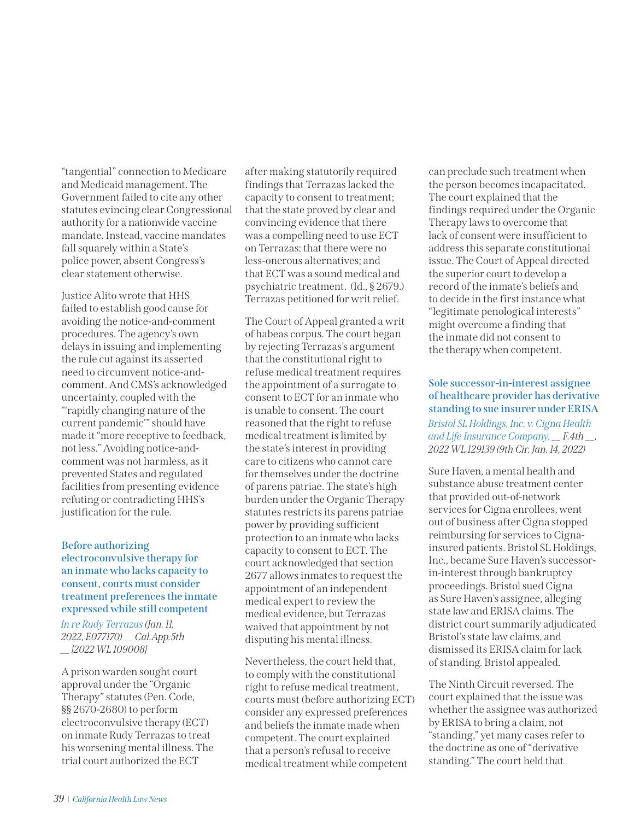"tangential" connection to Medicare and Medicaid management. The Government failed to cite any other statutes evincing clear Congressional authority for a nationwide vaccine mandate. Instead, vaccine mandates fall squarely within a State's police power, absent Congress's clear statement otherwise.

Justice Alito wrote that HHS failed to establish good cause for avoiding the notice-and-comment procedures. The agency's own delays in issuing and implementing the rule cut against its asserted need to circumvent notice-andcomment. And CMS's acknowledged uncertainty, coupled with the "'rapidly changing nature of the current pandemic'" should have made it "more receptive to feedback, not less." Avoiding notice-andcomment was not harmless, as it prevented States and regulated facilities from presenting evidence refuting or contradicting HHS's justification for the rule.

## **Before authorizing electroconvulsive therapy for an inmate who lacks capacity to consent, courts must consider treatment preferences the inmate expressed while still competent**

*[In re Rudy Terrazas](https://nam02.safelinks.protection.outlook.com/?url=https%3A%2F%2Fwww.courts.ca.gov%2Fopinions%2Fdocuments%2FE077170M.PDF&data=04%7C01%7Cmfarahani%40calhospital.org%7Ce0d5b13da7ba418d426e08d9e0342f8f%7C27a14bf02cbf48cb9e8c758653aa88df%7C1%7C0%7C637787337018973540%7CUnknown%7CTWFpbGZsb3d8eyJWIjoiMC4wLjAwMDAiLCJQIjoiV2luMzIiLCJBTiI6Ik1haWwiLCJXVCI6Mn0%3D%7C3000&sdata=%2BwuU4WhlLdwuHINAYatUxsjeOxENtjMnktx6Ll5%2FpXI%3D&reserved=0) (Jan. 11, 2022, E077170) \_\_ Cal.App.5th \_\_ [2022 WL 109008]*

A prison warden sought court approval under the "Organic Therapy" statutes (Pen. Code, §§ 2670-2680) to perform electroconvulsive therapy (ECT) on inmate Rudy Terrazas to treat his worsening mental illness. The trial court authorized the ECT

after making statutorily required findings that Terrazas lacked the capacity to consent to treatment; that the state proved by clear and convincing evidence that there was a compelling need to use ECT on Terrazas; that there were no less-onerous alternatives; and that ECT was a sound medical and psychiatric treatment. (Id., § 2679.) Terrazas petitioned for writ relief.

The Court of Appeal granted a writ of habeas corpus. The court began by rejecting Terrazas's argument that the constitutional right to refuse medical treatment requires the appointment of a surrogate to consent to ECT for an inmate who is unable to consent. The court reasoned that the right to refuse medical treatment is limited by the state's interest in providing care to citizens who cannot care for themselves under the doctrine of parens patriae. The state's high burden under the Organic Therapy statutes restricts its parens patriae power by providing sufficient protection to an inmate who lacks capacity to consent to ECT. The court acknowledged that section 2677 allows inmates to request the appointment of an independent medical expert to review the medical evidence, but Terrazas waived that appointment by not disputing his mental illness.

Nevertheless, the court held that, to comply with the constitutional right to refuse medical treatment, courts must (before authorizing ECT) consider any expressed preferences and beliefs the inmate made when competent. The court explained that a person's refusal to receive medical treatment while competent

can preclude such treatment when the person becomes incapacitated. The court explained that the findings required under the Organic Therapy laws to overcome that lack of consent were insufficient to address this separate constitutional issue. The Court of Appeal directed the superior court to develop a record of the inmate's beliefs and to decide in the first instance what "legitimate penological interests" might overcome a finding that the inmate did not consent to the therapy when competent.

**Sole successor-in-interest assignee of healthcare provider has derivative standing to sue insurer under ERISA** *[Bristol SL Holdings, Inc. v. Cigna Health](https://nam02.safelinks.protection.outlook.com/?url=https%3A%2F%2Fcdn.ca9.uscourts.gov%2Fdatastore%2Fopinions%2F2022%2F01%2F14%2F20-56122.pdf&data=04%7C01%7Cmfarahani%40calhospital.org%7C611b28b07e1844bf924d08d9e034d931%7C27a14bf02cbf48cb9e8c758653aa88df%7C1%7C0%7C637787339854127546%7CUnknown%7CTWFpbGZsb3d8eyJWIjoiMC4wLjAwMDAiLCJQIjoiV2luMzIiLCJBTiI6Ik1haWwiLCJXVCI6Mn0%3D%7C3000&sdata=n770XWlvf52fsX4bvDtL5TBoQDhFElwPQraid82LWLw%3D&reserved=0)  [and Life Insurance Company](https://nam02.safelinks.protection.outlook.com/?url=https%3A%2F%2Fcdn.ca9.uscourts.gov%2Fdatastore%2Fopinions%2F2022%2F01%2F14%2F20-56122.pdf&data=04%7C01%7Cmfarahani%40calhospital.org%7C611b28b07e1844bf924d08d9e034d931%7C27a14bf02cbf48cb9e8c758653aa88df%7C1%7C0%7C637787339854127546%7CUnknown%7CTWFpbGZsb3d8eyJWIjoiMC4wLjAwMDAiLCJQIjoiV2luMzIiLCJBTiI6Ik1haWwiLCJXVCI6Mn0%3D%7C3000&sdata=n770XWlvf52fsX4bvDtL5TBoQDhFElwPQraid82LWLw%3D&reserved=0), \_\_ F.4th \_\_, 2022 WL 129139 (9th Cir. Jan. 14, 2022)* 

Sure Haven, a mental health and substance abuse treatment center that provided out-of-network services for Cigna enrollees, went out of business after Cigna stopped reimbursing for services to Cignainsured patients. Bristol SL Holdings, Inc., became Sure Haven's successorin-interest through bankruptcy proceedings. Bristol sued Cigna as Sure Haven's assignee, alleging state law and ERISA claims. The district court summarily adjudicated Bristol's state law claims, and dismissed its ERISA claim for lack of standing. Bristol appealed.

The Ninth Circuit reversed. The court explained that the issue was whether the assignee was authorized by ERISA to bring a claim, not "standing," yet many cases refer to the doctrine as one of "derivative standing." The court held that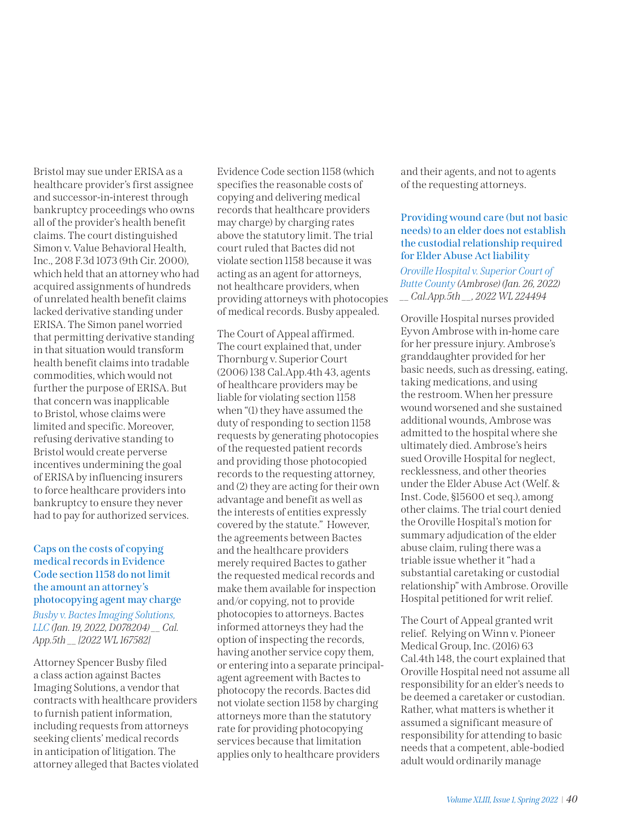Bristol may sue under ERISA as a healthcare provider's first assignee and successor-in-interest through bankruptcy proceedings who owns all of the provider's health benefit claims. The court distinguished Simon v. Value Behavioral Health, Inc., 208 F.3d 1073 (9th Cir. 2000), which held that an attorney who had acquired assignments of hundreds of unrelated health benefit claims lacked derivative standing under ERISA. The Simon panel worried that permitting derivative standing in that situation would transform health benefit claims into tradable commodities, which would not further the purpose of ERISA. But that concern was inapplicable to Bristol, whose claims were limited and specific. Moreover, refusing derivative standing to Bristol would create perverse incentives undermining the goal of ERISA by influencing insurers to force healthcare providers into bankruptcy to ensure they never had to pay for authorized services.

# **Caps on the costs of copying medical records in Evidence Code section 1158 do not limit the amount an attorney's photocopying agent may charge** *[Busby v. Bactes Imaging Solutions,](https://nam02.safelinks.protection.outlook.com/?url=https%3A%2F%2Fwww.courts.ca.gov%2Fopinions%2Fdocuments%2FD078204.PDF&data=04%7C01%7Cmfarahani%40calhospital.org%7C8a9f48ee2d144742620808d9e0357882%7C27a14bf02cbf48cb9e8c758653aa88df%7C1%7C0%7C637787342529031526%7CUnknown%7CTWFpbGZsb3d8eyJWIjoiMC4wLjAwMDAiLCJQIjoiV2luMzIiLCJBTiI6Ik1haWwiLCJXVCI6Mn0%3D%7C3000&sdata=Crjuj%2F9rTpGhC1zzGsL5vlSGr9cxt0JsegYbp%2BTDXY0%3D&reserved=0)  [LLC](https://nam02.safelinks.protection.outlook.com/?url=https%3A%2F%2Fwww.courts.ca.gov%2Fopinions%2Fdocuments%2FD078204.PDF&data=04%7C01%7Cmfarahani%40calhospital.org%7C8a9f48ee2d144742620808d9e0357882%7C27a14bf02cbf48cb9e8c758653aa88df%7C1%7C0%7C637787342529031526%7CUnknown%7CTWFpbGZsb3d8eyJWIjoiMC4wLjAwMDAiLCJQIjoiV2luMzIiLCJBTiI6Ik1haWwiLCJXVCI6Mn0%3D%7C3000&sdata=Crjuj%2F9rTpGhC1zzGsL5vlSGr9cxt0JsegYbp%2BTDXY0%3D&reserved=0) (Jan. 19, 2022, D078204) \_\_ Cal. App.5th \_\_ [2022 WL 167582]*

Attorney Spencer Busby filed a class action against Bactes Imaging Solutions, a vendor that contracts with healthcare providers to furnish patient information, including requests from attorneys seeking clients' medical records in anticipation of litigation. The attorney alleged that Bactes violated

Evidence Code section 1158 (which specifies the reasonable costs of copying and delivering medical records that healthcare providers may charge) by charging rates above the statutory limit. The trial court ruled that Bactes did not violate section 1158 because it was acting as an agent for attorneys, not healthcare providers, when providing attorneys with photocopies of medical records. Busby appealed.

The Court of Appeal affirmed. The court explained that, under Thornburg v. Superior Court (2006) 138 Cal.App.4th 43, agents of healthcare providers may be liable for violating section 1158 when "(1) they have assumed the duty of responding to section 1158 requests by generating photocopies of the requested patient records and providing those photocopied records to the requesting attorney, and (2) they are acting for their own advantage and benefit as well as the interests of entities expressly covered by the statute." However, the agreements between Bactes and the healthcare providers merely required Bactes to gather the requested medical records and make them available for inspection and/or copying, not to provide photocopies to attorneys. Bactes informed attorneys they had the option of inspecting the records, having another service copy them, or entering into a separate principalagent agreement with Bactes to photocopy the records. Bactes did not violate section 1158 by charging attorneys more than the statutory rate for providing photocopying services because that limitation applies only to healthcare providers

and their agents, and not to agents of the requesting attorneys.

## **Providing wound care (but not basic needs) to an elder does not establish the custodial relationship required for Elder Abuse Act liability**

*[Oroville Hospital v. Superior Court of](https://nam02.safelinks.protection.outlook.com/?url=https%3A%2F%2Fwww.courts.ca.gov%2Fopinions%2Fdocuments%2FC090570.PDF&data=04%7C01%7Cmfarahani%40calhospital.org%7C4efbce15be2f4ea9424208d9ea8d8575%7C27a14bf02cbf48cb9e8c758653aa88df%7C1%7C0%7C637798715831028861%7CUnknown%7CTWFpbGZsb3d8eyJWIjoiMC4wLjAwMDAiLCJQIjoiV2luMzIiLCJBTiI6Ik1haWwiLCJXVCI6Mn0%3D%7C3000&sdata=WFTAU5Kdq6v1UjqhWr94DjSIeGKgulmZIr43aO52%2Fh4%3D&reserved=0)  [Butte County \(Ambrose\)](https://nam02.safelinks.protection.outlook.com/?url=https%3A%2F%2Fwww.courts.ca.gov%2Fopinions%2Fdocuments%2FC090570.PDF&data=04%7C01%7Cmfarahani%40calhospital.org%7C4efbce15be2f4ea9424208d9ea8d8575%7C27a14bf02cbf48cb9e8c758653aa88df%7C1%7C0%7C637798715831028861%7CUnknown%7CTWFpbGZsb3d8eyJWIjoiMC4wLjAwMDAiLCJQIjoiV2luMzIiLCJBTiI6Ik1haWwiLCJXVCI6Mn0%3D%7C3000&sdata=WFTAU5Kdq6v1UjqhWr94DjSIeGKgulmZIr43aO52%2Fh4%3D&reserved=0) (Jan. 26, 2022) \_\_ Cal.App.5th \_\_, 2022 WL 224494* 

Oroville Hospital nurses provided Eyvon Ambrose with in-home care for her pressure injury. Ambrose's granddaughter provided for her basic needs, such as dressing, eating, taking medications, and using the restroom. When her pressure wound worsened and she sustained additional wounds, Ambrose was admitted to the hospital where she ultimately died. Ambrose's heirs sued Oroville Hospital for neglect, recklessness, and other theories under the Elder Abuse Act (Welf. & Inst. Code, §15600 et seq.), among other claims. The trial court denied the Oroville Hospital's motion for summary adjudication of the elder abuse claim, ruling there was a triable issue whether it "had a substantial caretaking or custodial relationship" with Ambrose. Oroville Hospital petitioned for writ relief.

The Court of Appeal granted writ relief. Relying on Winn v. Pioneer Medical Group, Inc. (2016) 63 Cal.4th 148, the court explained that Oroville Hospital need not assume all responsibility for an elder's needs to be deemed a caretaker or custodian. Rather, what matters is whether it assumed a significant measure of responsibility for attending to basic needs that a competent, able-bodied adult would ordinarily manage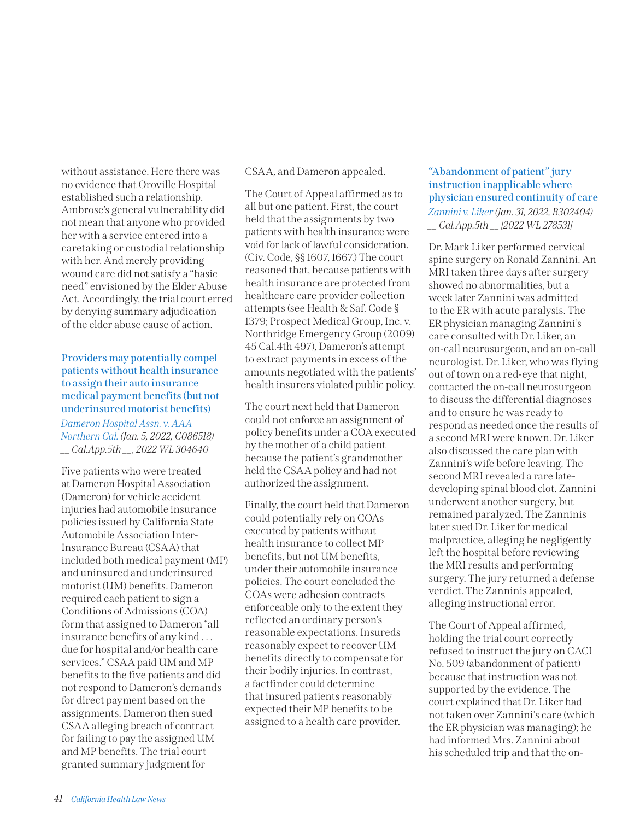without assistance. Here there was no evidence that Oroville Hospital established such a relationship. Ambrose's general vulnerability did not mean that anyone who provided her with a service entered into a caretaking or custodial relationship with her. And merely providing wound care did not satisfy a "basic need" envisioned by the Elder Abuse Act. Accordingly, the trial court erred by denying summary adjudication of the elder abuse cause of action.

# **Providers may potentially compel patients without health insurance to assign their auto insurance medical payment benefits (but not underinsured motorist benefits)**

*[Dameron Hospital Assn. v. AAA](https://nam02.safelinks.protection.outlook.com/?url=https%3A%2F%2Fwww.courts.ca.gov%2Fopinions%2Fdocuments%2FC086518.PDF&data=04%7C01%7Cmfarahani%40calhospital.org%7C14b3b235a29f439fe5e008d9ea8e4261%7C27a14bf02cbf48cb9e8c758653aa88df%7C1%7C0%7C637798719011028987%7CUnknown%7CTWFpbGZsb3d8eyJWIjoiMC4wLjAwMDAiLCJQIjoiV2luMzIiLCJBTiI6Ik1haWwiLCJXVCI6Mn0%3D%7C3000&sdata=ft05uQtHTRX%2Fp%2F4P8E4wtbA9zIGyN5Uy3a%2Bvzdf%2Fu1E%3D&reserved=0)  [Northern Cal.](https://nam02.safelinks.protection.outlook.com/?url=https%3A%2F%2Fwww.courts.ca.gov%2Fopinions%2Fdocuments%2FC086518.PDF&data=04%7C01%7Cmfarahani%40calhospital.org%7C14b3b235a29f439fe5e008d9ea8e4261%7C27a14bf02cbf48cb9e8c758653aa88df%7C1%7C0%7C637798719011028987%7CUnknown%7CTWFpbGZsb3d8eyJWIjoiMC4wLjAwMDAiLCJQIjoiV2luMzIiLCJBTiI6Ik1haWwiLCJXVCI6Mn0%3D%7C3000&sdata=ft05uQtHTRX%2Fp%2F4P8E4wtbA9zIGyN5Uy3a%2Bvzdf%2Fu1E%3D&reserved=0) (Jan. 5, 2022, C086518) \_\_ Cal.App.5th \_\_, 2022 WL 304640* 

Five patients who were treated at Dameron Hospital Association (Dameron) for vehicle accident injuries had automobile insurance policies issued by California State Automobile Association Inter-Insurance Bureau (CSAA) that included both medical payment (MP) and uninsured and underinsured motorist (UM) benefits. Dameron required each patient to sign a Conditions of Admissions (COA) form that assigned to Dameron "all insurance benefits of any kind . . . due for hospital and/or health care services." CSAA paid UM and MP benefits to the five patients and did not respond to Dameron's demands for direct payment based on the assignments. Dameron then sued CSAA alleging breach of contract for failing to pay the assigned UM and MP benefits. The trial court granted summary judgment for

CSAA, and Dameron appealed.

The Court of Appeal affirmed as to all but one patient. First, the court held that the assignments by two patients with health insurance were void for lack of lawful consideration. (Civ. Code, §§ 1607, 1667.) The court reasoned that, because patients with health insurance are protected from healthcare care provider collection attempts (see Health & Saf. Code § 1379; Prospect Medical Group, Inc. v. Northridge Emergency Group (2009) 45 Cal.4th 497), Dameron's attempt to extract payments in excess of the amounts negotiated with the patients' health insurers violated public policy.

The court next held that Dameron could not enforce an assignment of policy benefits under a COA executed by the mother of a child patient because the patient's grandmother held the CSAA policy and had not authorized the assignment.

Finally, the court held that Dameron could potentially rely on COAs executed by patients without health insurance to collect MP benefits, but not UM benefits, under their automobile insurance policies. The court concluded the COAs were adhesion contracts enforceable only to the extent they reflected an ordinary person's reasonable expectations. Insureds reasonably expect to recover UM benefits directly to compensate for their bodily injuries. In contrast, a factfinder could determine that insured patients reasonably expected their MP benefits to be assigned to a health care provider.

# **"Abandonment of patient" jury instruction inapplicable where physician ensured continuity of care** *[Zannini v. Liker](https://nam02.safelinks.protection.outlook.com/?url=https%3A%2F%2Fwww.courts.ca.gov%2Fopinions%2Fdocuments%2FB302404.PDF&data=04%7C01%7Cmfarahani%40calhospital.org%7C4c9eaf53ae54441819d408d9eceb4e71%7C27a14bf02cbf48cb9e8c758653aa88df%7C1%7C0%7C637801317661356931%7CUnknown%7CTWFpbGZsb3d8eyJWIjoiMC4wLjAwMDAiLCJQIjoiV2luMzIiLCJBTiI6Ik1haWwiLCJXVCI6Mn0%3D%7C3000&sdata=xgFCXYEo7u4lvJ2d3Kl4DcMwXhKWw2mY8UTIL%2F2ufgA%3D&reserved=0)(Jan. 31, 2022, B302404) \_\_ Cal.App.5th \_\_ [2022 WL 278531]*

Dr. Mark Liker performed cervical spine surgery on Ronald Zannini. An MRI taken three days after surgery showed no abnormalities, but a week later Zannini was admitted to the ER with acute paralysis. The ER physician managing Zannini's care consulted with Dr. Liker, an on-call neurosurgeon, and an on-call neurologist. Dr. Liker, who was flying out of town on a red-eye that night, contacted the on-call neurosurgeon to discuss the differential diagnoses and to ensure he was ready to respond as needed once the results of a second MRI were known. Dr. Liker also discussed the care plan with Zannini's wife before leaving. The second MRI revealed a rare latedeveloping spinal blood clot. Zannini underwent another surgery, but remained paralyzed. The Zanninis later sued Dr. Liker for medical malpractice, alleging he negligently left the hospital before reviewing the MRI results and performing surgery. The jury returned a defense verdict. The Zanninis appealed, alleging instructional error.

The Court of Appeal affirmed, holding the trial court correctly refused to instruct the jury on CACI No. 509 (abandonment of patient) because that instruction was not supported by the evidence. The court explained that Dr. Liker had not taken over Zannini's care (which the ER physician was managing); he had informed Mrs. Zannini about his scheduled trip and that the on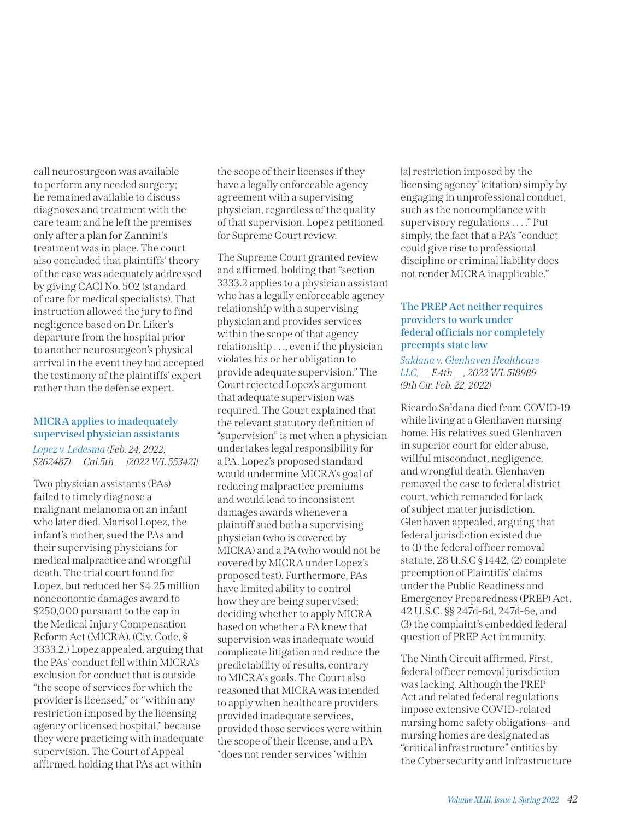call neurosurgeon was available to perform any needed surgery; he remained available to discuss diagnoses and treatment with the care team; and he left the premises only after a plan for Zannini's treatment was in place. The court also concluded that plaintiffs' theory of the case was adequately addressed by giving CACI No. 502 (standard of care for medical specialists). That instruction allowed the jury to find negligence based on Dr. Liker's departure from the hospital prior to another neurosurgeon's physical arrival in the event they had accepted the testimony of the plaintiffs' expert rather than the defense expert.

## **MICRA applies to inadequately supervised physician assistants**

*[Lopez v. Ledesma](https://nam02.safelinks.protection.outlook.com/?url=https%3A%2F%2Fwww.courts.ca.gov%2Fopinions%2Fdocuments%2FS262487A.PDF&data=04%7C01%7Cmfarahani%40calhospital.org%7C7a0650e3c2ff4eeb6db908d9fd3ab58f%7C27a14bf02cbf48cb9e8c758653aa88df%7C1%7C0%7C637819250873937121%7CUnknown%7CTWFpbGZsb3d8eyJWIjoiMC4wLjAwMDAiLCJQIjoiV2luMzIiLCJBTiI6Ik1haWwiLCJXVCI6Mn0%3D%7C3000&sdata=MOmaPP5z45rEgv8UtRKLUpSm%2BPC7zo%2BKnx%2Bx7%2FlmMdA%3D&reserved=0) (Feb. 24, 2022, S262487) \_\_ Cal.5th \_\_ [2022 WL 553421]*

Two physician assistants (PAs) failed to timely diagnose a malignant melanoma on an infant who later died. Marisol Lopez, the infant's mother, sued the PAs and their supervising physicians for medical malpractice and wrongful death. The trial court found for Lopez, but reduced her \$4.25 million noneconomic damages award to \$250,000 pursuant to the cap in the Medical Injury Compensation Reform Act (MICRA). (Civ. Code, § 3333.2.) Lopez appealed, arguing that the PAs' conduct fell within MICRA's exclusion for conduct that is outside "the scope of services for which the provider is licensed," or "within any restriction imposed by the licensing agency or licensed hospital," because they were practicing with inadequate supervision. The Court of Appeal affirmed, holding that PAs act within

the scope of their licenses if they have a legally enforceable agency agreement with a supervising physician, regardless of the quality of that supervision. Lopez petitioned for Supreme Court review.

The Supreme Court granted review and affirmed, holding that "section 3333.2 applies to a physician assistant who has a legally enforceable agency relationship with a supervising physician and provides services within the scope of that agency relationship . . ., even if the physician violates his or her obligation to provide adequate supervision." The Court rejected Lopez's argument that adequate supervision was required. The Court explained that the relevant statutory definition of "supervision" is met when a physician undertakes legal responsibility for a PA. Lopez's proposed standard would undermine MICRA's goal of reducing malpractice premiums and would lead to inconsistent damages awards whenever a plaintiff sued both a supervising physician (who is covered by MICRA) and a PA (who would not be covered by MICRA under Lopez's proposed test). Furthermore, PAs have limited ability to control how they are being supervised; deciding whether to apply MICRA based on whether a PA knew that supervision was inadequate would complicate litigation and reduce the predictability of results, contrary to MICRA's goals. The Court also reasoned that MICRA was intended to apply when healthcare providers provided inadequate services, provided those services were within the scope of their license, and a PA "does not render services 'within

[a] restriction imposed by the licensing agency' (citation) simply by engaging in unprofessional conduct, such as the noncompliance with supervisory regulations . . . ." Put simply, the fact that a PA's "conduct could give rise to professional discipline or criminal liability does not render MICRA inapplicable."

## **The PREP Act neither requires providers to work under federal officials nor completely preempts state law**

*[Saldana v. Glenhaven Healthcare](https://nam02.safelinks.protection.outlook.com/?url=https%3A%2F%2Fcdn.ca9.uscourts.gov%2Fdatastore%2Fopinions%2F2022%2F02%2F22%2F20-56194.pdf&data=04%7C01%7Cmfarahani%40calhospital.org%7C4ae4b49b442a4a348ab108d9fd3b3de0%7C27a14bf02cbf48cb9e8c758653aa88df%7C1%7C0%7C637819253169932346%7CUnknown%7CTWFpbGZsb3d8eyJWIjoiMC4wLjAwMDAiLCJQIjoiV2luMzIiLCJBTiI6Ik1haWwiLCJXVCI6Mn0%3D%7C3000&sdata=4GZIe13BFlfvd%2Bbbhz2plbOh%2BhM9Qe44CV0rtwxNmME%3D&reserved=0)  [LLC](https://nam02.safelinks.protection.outlook.com/?url=https%3A%2F%2Fcdn.ca9.uscourts.gov%2Fdatastore%2Fopinions%2F2022%2F02%2F22%2F20-56194.pdf&data=04%7C01%7Cmfarahani%40calhospital.org%7C4ae4b49b442a4a348ab108d9fd3b3de0%7C27a14bf02cbf48cb9e8c758653aa88df%7C1%7C0%7C637819253169932346%7CUnknown%7CTWFpbGZsb3d8eyJWIjoiMC4wLjAwMDAiLCJQIjoiV2luMzIiLCJBTiI6Ik1haWwiLCJXVCI6Mn0%3D%7C3000&sdata=4GZIe13BFlfvd%2Bbbhz2plbOh%2BhM9Qe44CV0rtwxNmME%3D&reserved=0), \_\_ F.4th \_\_, 2022 WL 518989 (9th Cir. Feb. 22, 2022)* 

Ricardo Saldana died from COVID-19 while living at a Glenhaven nursing home. His relatives sued Glenhaven in superior court for elder abuse, willful misconduct, negligence, and wrongful death. Glenhaven removed the case to federal district court, which remanded for lack of subject matter jurisdiction. Glenhaven appealed, arguing that federal jurisdiction existed due to (1) the federal officer removal statute, 28 U.S.C § 1442, (2) complete preemption of Plaintiffs' claims under the Public Readiness and Emergency Preparedness (PREP) Act, 42 U.S.C. §§ 247d-6d, 247d-6e, and (3) the complaint's embedded federal question of PREP Act immunity.

The Ninth Circuit affirmed. First, federal officer removal jurisdiction was lacking. Although the PREP Act and related federal regulations impose extensive COVID-related nursing home safety obligations—and nursing homes are designated as "critical infrastructure" entities by the Cybersecurity and Infrastructure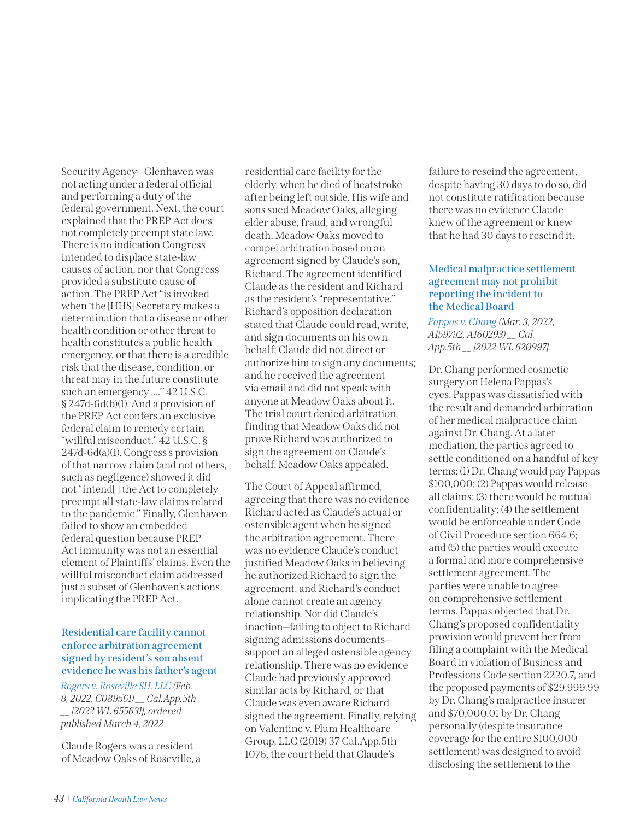Security Agency—Glenhaven was not acting under a federal official and performing a duty of the federal government. Next, the court explained that the PREP Act does not completely preempt state law. There is no indication Congress intended to displace state-law causes of action, nor that Congress provided a substitute cause of action. The PREP Act "is invoked when 'the [HHS] Secretary makes a determination that a disease or other health condition or other threat to health constitutes a public health emergency, or that there is a credible risk that the disease, condition, or threat may in the future constitute such an emergency ....'' 42 U.S.C. § 247d-6d(b)(1). And a provision of the PREP Act confers an exclusive federal claim to remedy certain "willful misconduct." 42 U.S.C. § 247d-6d(a)(1). Congress's provision of that narrow claim (and not others, such as negligence) showed it did not "intend[ ] the Act to completely preempt all state-law claims related to the pandemic." Finally, Glenhaven failed to show an embedded federal question because PREP Act immunity was not an essential element of Plaintiffs' claims. Even the willful misconduct claim addressed just a subset of Glenhaven's actions implicating the PREP Act.

# **Residential care facility cannot enforce arbitration agreement signed by resident's son absent evidence he was his father's agent**

*[Rogers v. Roseville SH, LLC](https://nam02.safelinks.protection.outlook.com/?url=https%3A%2F%2Fwww.courts.ca.gov%2Fopinions%2Fdocuments%2FC089561.PDF&data=04%7C01%7Cmfarahani%40calhospital.org%7Cb8947db2ef1d4710964008da02259871%7C27a14bf02cbf48cb9e8c758653aa88df%7C1%7C0%7C637824657741295030%7CUnknown%7CTWFpbGZsb3d8eyJWIjoiMC4wLjAwMDAiLCJQIjoiV2luMzIiLCJBTiI6Ik1haWwiLCJXVCI6Mn0%3D%7C3000&sdata=nZBR%2Bnl1zt%2BsU5SBLjzriy%2BD0eZ1HHmVfZn6Y3cLTEs%3D&reserved=0) (Feb. 8, 2022, C089561) \_\_ Cal.App.5th \_\_ [2022 WL 655631], ordered published March 4, 2022*

Claude Rogers was a resident of Meadow Oaks of Roseville, a residential care facility for the elderly, when he died of heatstroke after being left outside. His wife and sons sued Meadow Oaks, alleging elder abuse, fraud, and wrongful death. Meadow Oaks moved to compel arbitration based on an agreement signed by Claude's son, Richard. The agreement identified Claude as the resident and Richard as the resident's "representative." Richard's opposition declaration stated that Claude could read, write, and sign documents on his own behalf; Claude did not direct or authorize him to sign any documents; and he received the agreement via email and did not speak with anyone at Meadow Oaks about it. The trial court denied arbitration, finding that Meadow Oaks did not prove Richard was authorized to sign the agreement on Claude's behalf. Meadow Oaks appealed.

The Court of Appeal affirmed, agreeing that there was no evidence Richard acted as Claude's actual or ostensible agent when he signed the arbitration agreement. There was no evidence Claude's conduct justified Meadow Oaks in believing he authorized Richard to sign the agreement, and Richard's conduct alone cannot create an agency relationship. Nor did Claude's inaction—failing to object to Richard signing admissions documents support an alleged ostensible agency relationship. There was no evidence Claude had previously approved similar acts by Richard, or that Claude was even aware Richard signed the agreement. Finally, relying on Valentine v. Plum Healthcare Group, LLC (2019) 37 Cal.App.5th 1076, the court held that Claude's

failure to rescind the agreement, despite having 30 days to do so, did not constitute ratification because there was no evidence Claude knew of the agreement or knew that he had 30 days to rescind it.

## **Medical malpractice settlement agreement may not prohibit reporting the incident to the Medical Board**

*[Pappas v. Chang](https://nam02.safelinks.protection.outlook.com/?url=https%3A%2F%2Fwww.courts.ca.gov%2Fopinions%2Fdocuments%2FA159792.PDF&data=04%7C01%7Cmfarahani%40calhospital.org%7C5751d0b861eb4e67451208da039123ae%7C27a14bf02cbf48cb9e8c758653aa88df%7C1%7C0%7C637826219194256443%7CUnknown%7CTWFpbGZsb3d8eyJWIjoiMC4wLjAwMDAiLCJQIjoiV2luMzIiLCJBTiI6Ik1haWwiLCJXVCI6Mn0%3D%7C3000&sdata=4v6NXmbGFrcSHr2i5nFnohRWGi6E95Clj7d6gFYSatY%3D&reserved=0) (Mar. 3, 2022, A159792, A160293) \_\_ Cal. App.5th \_\_ [2022 WL 620997]*

Dr. Chang performed cosmetic surgery on Helena Pappas's eyes. Pappas was dissatisfied with the result and demanded arbitration of her medical malpractice claim against Dr. Chang. At a later mediation, the parties agreed to settle conditioned on a handful of key terms: (1) Dr. Chang would pay Pappas \$100,000; (2) Pappas would release all claims; (3) there would be mutual confidentiality; (4) the settlement would be enforceable under Code of Civil Procedure section 664.6; and (5) the parties would execute a formal and more comprehensive settlement agreement. The parties were unable to agree on comprehensive settlement terms. Pappas objected that Dr. Chang's proposed confidentiality provision would prevent her from filing a complaint with the Medical Board in violation of Business and Professions Code section 2220.7, and the proposed payments of \$29,999.99 by Dr. Chang's malpractice insurer and \$70,000.01 by Dr. Chang personally (despite insurance coverage for the entire \$100,000 settlement) was designed to avoid disclosing the settlement to the